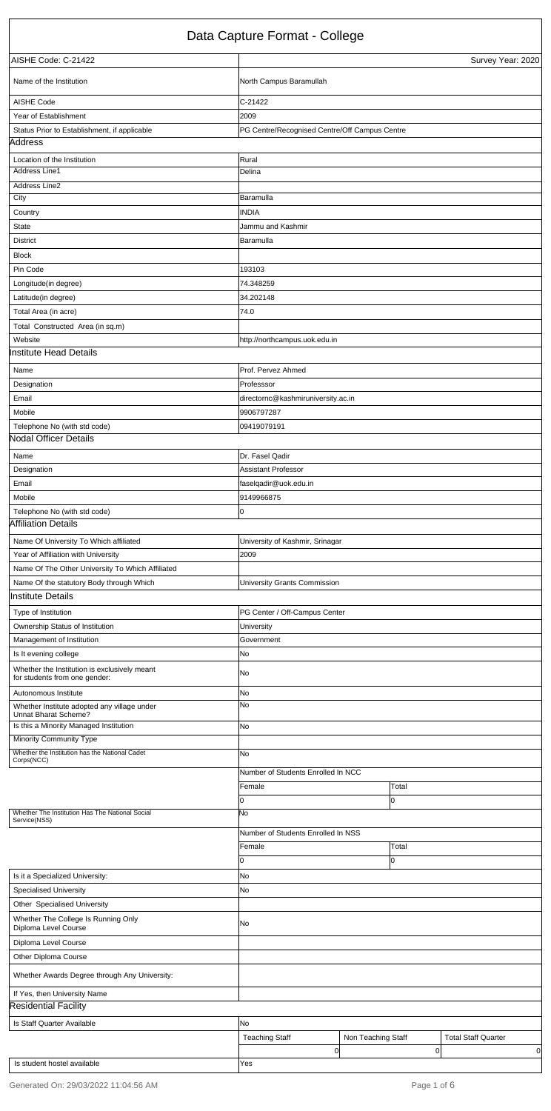| Is this a Minority Managed Institution                          | <b>INo</b>                         |       |
|-----------------------------------------------------------------|------------------------------------|-------|
| <b>Minority Community Type</b>                                  |                                    |       |
| Whether the Institution has the National Cadet<br>Corps(NCC)    | <b>INo</b>                         |       |
|                                                                 | Number of Students Enrolled In NCC |       |
|                                                                 | Female                             | Total |
|                                                                 | 10                                 |       |
| Whether The Institution Has The National Social<br>Service(NSS) | No                                 |       |

|                                                             | Number of Students Enrolled In NSS |                    |                            |
|-------------------------------------------------------------|------------------------------------|--------------------|----------------------------|
|                                                             | Female                             | Total              |                            |
|                                                             |                                    |                    |                            |
| Is it a Specialized University:                             | No                                 |                    |                            |
| <b>Specialised University</b>                               | No                                 |                    |                            |
| Other Specialised University                                |                                    |                    |                            |
| Whether The College Is Running Only<br>Diploma Level Course | No.                                |                    |                            |
| Diploma Level Course                                        |                                    |                    |                            |
| Other Diploma Course                                        |                                    |                    |                            |
| Whether Awards Degree through Any University:               |                                    |                    |                            |
| If Yes, then University Name                                |                                    |                    |                            |
| <b>Residential Facility</b>                                 |                                    |                    |                            |
| Is Staff Quarter Available                                  | No                                 |                    |                            |
|                                                             | <b>Teaching Staff</b>              | Non Teaching Staff | <b>Total Staff Quarter</b> |
|                                                             |                                    | Οl                 | 0l<br>0                    |
| Is student hostel available                                 | Yes                                |                    |                            |

|                                                                               | Data Capture Format - College                 |                   |
|-------------------------------------------------------------------------------|-----------------------------------------------|-------------------|
| AISHE Code: C-21422                                                           |                                               | Survey Year: 2020 |
| Name of the Institution                                                       | North Campus Baramullah                       |                   |
| AISHE Code                                                                    | C-21422                                       |                   |
| Year of Establishment                                                         | 2009                                          |                   |
| Status Prior to Establishment, if applicable                                  | PG Centre/Recognised Centre/Off Campus Centre |                   |
| Address                                                                       |                                               |                   |
| Location of the Institution                                                   | Rural                                         |                   |
| Address Line1                                                                 | Delina                                        |                   |
| <b>Address Line2</b>                                                          |                                               |                   |
| City                                                                          | Baramulla                                     |                   |
| Country                                                                       | <b>INDIA</b>                                  |                   |
| <b>State</b>                                                                  | Jammu and Kashmir                             |                   |
| <b>District</b>                                                               | Baramulla                                     |                   |
| <b>Block</b>                                                                  |                                               |                   |
| Pin Code                                                                      | 193103                                        |                   |
| Longitude(in degree)                                                          | 74.348259                                     |                   |
| Latitude(in degree)                                                           | 34.202148                                     |                   |
| Total Area (in acre)                                                          | 74.0                                          |                   |
| Total Constructed Area (in sq.m)                                              |                                               |                   |
| Website                                                                       | http://northcampus.uok.edu.in                 |                   |
| <b>Institute Head Details</b>                                                 |                                               |                   |
| Name                                                                          | Prof. Pervez Ahmed                            |                   |
| Designation                                                                   | Professsor                                    |                   |
| Email                                                                         | directornc@kashmiruniversity.ac.in            |                   |
| Mobile                                                                        | 9906797287                                    |                   |
| Telephone No (with std code)                                                  | 09419079191                                   |                   |
| <b>Nodal Officer Details</b>                                                  |                                               |                   |
| Name                                                                          | Dr. Fasel Qadir                               |                   |
| Designation                                                                   | <b>Assistant Professor</b>                    |                   |
| Email                                                                         | faselqadir@uok.edu.in                         |                   |
| Mobile                                                                        | 9149966875                                    |                   |
| Telephone No (with std code)                                                  | 0                                             |                   |
| <b>Affiliation Details</b>                                                    |                                               |                   |
| Name Of University To Which affiliated                                        | University of Kashmir, Srinagar               |                   |
| Year of Affiliation with University                                           | 2009                                          |                   |
| Name Of The Other University To Which Affiliated                              |                                               |                   |
| Name Of the statutory Body through Which                                      | University Grants Commission                  |                   |
| <b>Institute Details</b>                                                      |                                               |                   |
| Type of Institution                                                           | PG Center / Off-Campus Center                 |                   |
| Ownership Status of Institution                                               | University                                    |                   |
| Management of Institution                                                     | Government                                    |                   |
| Is It evening college                                                         | No                                            |                   |
| Whether the Institution is exclusively meant<br>for students from one gender: | No                                            |                   |
| Autonomous Institute                                                          | No                                            |                   |
| Whether Institute adopted any village under<br>Unnat Bharat Scheme?           | No.                                           |                   |
| فقدية فقام وبالمستروب                                                         |                                               |                   |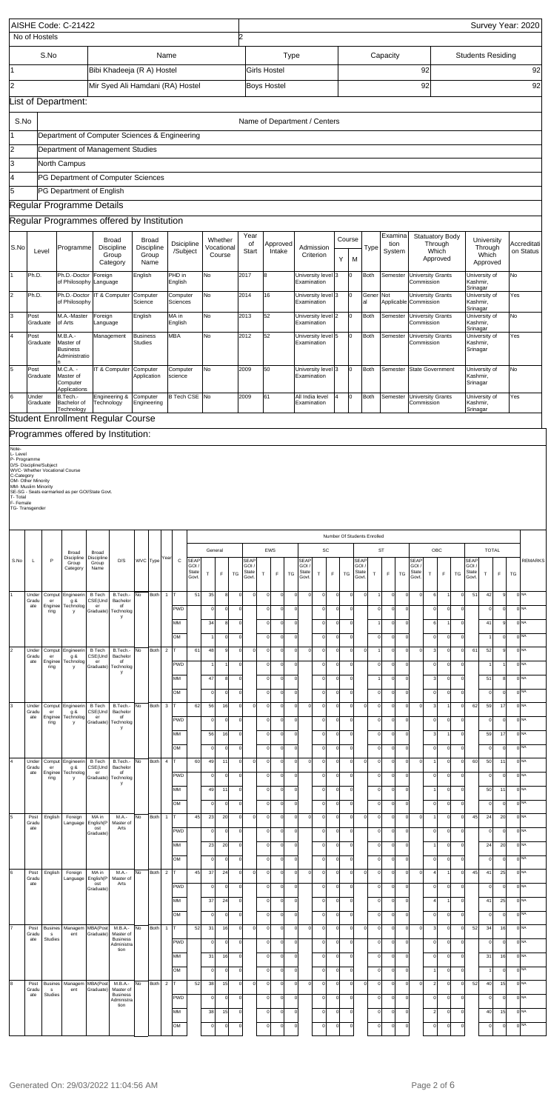|                            |                       | AISHE Code: C-21422<br>No of Hostels |                                                                                   |                                                                                                                              |                                                               |                     |                                             |                |                               |                                                    |                            |                                  | 2                                         |          |                                                                   |                                   |                                                |                                   |                      |                                         |                                                          |                                           |                                        |                                             |                                 |                                           |                                                   |                                       |                                            |                    | Survey Year: 2020                                     |                          |
|----------------------------|-----------------------|--------------------------------------|-----------------------------------------------------------------------------------|------------------------------------------------------------------------------------------------------------------------------|---------------------------------------------------------------|---------------------|---------------------------------------------|----------------|-------------------------------|----------------------------------------------------|----------------------------|----------------------------------|-------------------------------------------|----------|-------------------------------------------------------------------|-----------------------------------|------------------------------------------------|-----------------------------------|----------------------|-----------------------------------------|----------------------------------------------------------|-------------------------------------------|----------------------------------------|---------------------------------------------|---------------------------------|-------------------------------------------|---------------------------------------------------|---------------------------------------|--------------------------------------------|--------------------|-------------------------------------------------------|--------------------------|
|                            |                       | S.No                                 |                                                                                   |                                                                                                                              | Bibi Khadeeja (R A) Hostel                                    |                     |                                             | Name           |                               |                                                    |                            |                                  |                                           |          | Girls Hostel                                                      | Type                              |                                                |                                   |                      |                                         |                                                          | Capacity                                  |                                        |                                             | 92                              |                                           |                                                   | <b>Students Residing</b>              |                                            |                    |                                                       | 92                       |
| 2                          |                       |                                      |                                                                                   |                                                                                                                              | Mir Syed Ali Hamdani (RA) Hostel                              |                     |                                             |                |                               |                                                    |                            |                                  |                                           |          | <b>Boys Hostel</b>                                                |                                   |                                                |                                   |                      |                                         |                                                          |                                           |                                        |                                             | 92                              |                                           |                                                   |                                       |                                            |                    |                                                       | 92                       |
|                            |                       |                                      | List of Department:                                                               |                                                                                                                              |                                                               |                     |                                             |                |                               |                                                    |                            |                                  |                                           |          |                                                                   |                                   |                                                |                                   |                      |                                         |                                                          |                                           |                                        |                                             |                                 |                                           |                                                   |                                       |                                            |                    |                                                       |                          |
| S.No                       |                       |                                      |                                                                                   |                                                                                                                              |                                                               |                     |                                             |                |                               |                                                    |                            |                                  |                                           |          |                                                                   |                                   |                                                | Name of Department / Centers      |                      |                                         |                                                          |                                           |                                        |                                             |                                 |                                           |                                                   |                                       |                                            |                    |                                                       |                          |
| 2                          |                       |                                      | Department of Computer Sciences & Engineering<br>Department of Management Studies |                                                                                                                              |                                                               |                     |                                             |                |                               |                                                    |                            |                                  |                                           |          |                                                                   |                                   |                                                |                                   |                      |                                         |                                                          |                                           |                                        |                                             |                                 |                                           |                                                   |                                       |                                            |                    |                                                       |                          |
| 3                          |                       |                                      | North Campus                                                                      |                                                                                                                              |                                                               |                     |                                             |                |                               |                                                    |                            |                                  |                                           |          |                                                                   |                                   |                                                |                                   |                      |                                         |                                                          |                                           |                                        |                                             |                                 |                                           |                                                   |                                       |                                            |                    |                                                       |                          |
| 4<br>5                     |                       |                                      | PG Department of Computer Sciences<br>PG Department of English                    |                                                                                                                              |                                                               |                     |                                             |                |                               |                                                    |                            |                                  |                                           |          |                                                                   |                                   |                                                |                                   |                      |                                         |                                                          |                                           |                                        |                                             |                                 |                                           |                                                   |                                       |                                            |                    |                                                       |                          |
|                            |                       |                                      | Regular Programme Details                                                         |                                                                                                                              |                                                               |                     |                                             |                |                               |                                                    |                            |                                  |                                           |          |                                                                   |                                   |                                                |                                   |                      |                                         |                                                          |                                           |                                        |                                             |                                 |                                           |                                                   |                                       |                                            |                    |                                                       |                          |
|                            |                       |                                      | Regular Programmes offered by Institution                                         |                                                                                                                              |                                                               |                     |                                             |                |                               |                                                    |                            |                                  |                                           |          |                                                                   |                                   |                                                |                                   |                      |                                         |                                                          |                                           |                                        |                                             |                                 |                                           |                                                   |                                       |                                            |                    |                                                       |                          |
| S.No                       |                       | Level                                | Programme                                                                         |                                                                                                                              | <b>Broad</b><br><b>Discipline</b><br>Group<br>Category        |                     | <b>Broad</b><br>Discipline<br>Group<br>Name |                | <b>Dsicipline</b><br>/Subject |                                                    |                            | Whether<br>Vocational<br>Course  | Year<br>of<br>Start                       |          | Approved<br>Intake                                                |                                   |                                                | Admission<br>Criterion            | Y                    | Course<br>M                             | Type                                                     | Examina<br>System                         | tion                                   |                                             | Through<br>Which                | Statuatory Body<br>Approved               |                                                   |                                       | University<br>Through<br>Which<br>Approved |                    |                                                       | Accreditati<br>on Status |
|                            | Ph.D.                 |                                      | Ph.D.-Doctor Foreign<br>of Philosophy Language                                    |                                                                                                                              |                                                               | English             |                                             |                | PHD in<br>English             |                                                    | No                         |                                  | 2017                                      |          | 8                                                                 |                                   |                                                | University level 3<br>Examination |                      | Iо                                      | <b>Both</b>                                              | Semester                                  |                                        | <b>University Grants</b><br>Commission      |                                 |                                           |                                                   | Kashmir,                              | University of                              |                    | No                                                    |                          |
| $\overline{2}$             | Ph.D.                 |                                      | Ph.D.-Doctor<br>of Philosophy                                                     |                                                                                                                              | IT & Computer                                                 | Computer<br>Science |                                             |                | Computer<br>Sciences          |                                                    | No                         |                                  | 2014                                      |          | 16                                                                |                                   | Examination                                    | University level 3                |                      | Iо                                      | Gener<br>al                                              | Not                                       |                                        | Applicable Commission                       |                                 | University Grants                         |                                                   | Srinagar<br>University of<br>Kashmir, |                                            |                    | Yes                                                   |                          |
| 3                          | Post                  | Graduate                             | M.A.-Master<br>of Arts                                                            | MA in<br>No<br>Foreign<br>English<br>Language<br>English                                                                     |                                                               |                     |                                             |                |                               |                                                    | 2013                       |                                  | 52                                        |          |                                                                   | University level 2<br>Examination |                                                | Iо                                | <b>Both</b>          | Semester                                |                                                          | <b>University Grants</b><br>Commission    |                                        |                                             |                                 | Srinagar<br>Kashmir,                      | University of                                     |                                       | No                                         |                    |                                                       |                          |
|                            | Post                  | Graduate                             | M.B.A.-<br>Master of<br><b>Business</b>                                           | <b>MBA</b><br>No<br>Business<br>Management<br><b>Studies</b><br>Administratio<br>No<br>IT & Computer<br>Computer<br>Computer |                                                               |                     |                                             |                |                               |                                                    |                            | 2012                             |                                           | 52       |                                                                   |                                   | University level 5<br>Examination              |                                   | Iо                   | <b>Both</b>                             | Semester                                                 |                                           | <b>University Grants</b><br>Commission |                                             |                                 |                                           | Srinagar<br>University of<br>Kashmir,<br>Srinagar |                                       |                                            | Yes                |                                                       |                          |
| 5                          | Post                  | Graduate                             | M.C.A. -<br>Master of<br>Computer<br>Applications                                 | Application<br>science<br>Engineering &<br>B Tech CSE No<br>Computer                                                         |                                                               |                     |                                             |                |                               |                                                    |                            | 2009                             |                                           | 50       |                                                                   |                                   | University level 3<br>Examination              |                                   | Iо                   | <b>Both</b>                             | Semester                                                 |                                           | State Government                       |                                             |                                 |                                           | Kashmir,<br>Srinagar                              | University of                         |                                            | No                 |                                                       |                          |
| 6                          | Under<br>Graduate     |                                      | B.Tech.-<br>Bachelor of<br>Technology                                             | Technology                                                                                                                   |                                                               |                     | Engineering                                 |                |                               |                                                    |                            |                                  | 2009                                      |          | 61                                                                |                                   |                                                | All India level<br>Examination    |                      | Iо                                      | <b>Both</b>                                              | Semester                                  |                                        | <b>University Grants</b><br>Commission      |                                 |                                           |                                                   | University of<br>Kashmir,<br>Srinagar |                                            |                    | Yes                                                   |                          |
|                            |                       |                                      | Student Enrollment Regular Course                                                 |                                                                                                                              |                                                               |                     |                                             |                |                               |                                                    |                            |                                  |                                           |          |                                                                   |                                   |                                                |                                   |                      |                                         |                                                          |                                           |                                        |                                             |                                 |                                           |                                                   |                                       |                                            |                    |                                                       |                          |
| Note-                      |                       |                                      | Programmes offered by Institution:                                                |                                                                                                                              |                                                               |                     |                                             |                |                               |                                                    |                            |                                  |                                           |          |                                                                   |                                   |                                                |                                   |                      |                                         |                                                          |                                           |                                        |                                             |                                 |                                           |                                                   |                                       |                                            |                    |                                                       |                          |
| F-Female<br>TG-Transgender |                       |                                      |                                                                                   |                                                                                                                              |                                                               |                     |                                             |                |                               |                                                    |                            |                                  |                                           |          |                                                                   |                                   |                                                |                                   |                      |                                         | Number Of Students Enrolled                              |                                           |                                        |                                             |                                 |                                           |                                                   |                                       |                                            |                    |                                                       |                          |
| S.No                       | L                     | P                                    | Broad<br>Discipline<br>Group<br>Category                                          | Broad<br>Discipline<br>Group<br>Name                                                                                         | D/S                                                           |                     | WVC Type                                    | Year           | С                             | <b>SEAF</b><br><b>GOI</b><br><b>State</b><br>Govt. | General<br>т               | $\mathsf F$<br>TG                | <b>SEAF</b><br>GOI<br>State<br>Govt.      | T        | EWS<br>F                                                          | TG                                | <b>SEAF</b><br><b>GOI</b><br>State<br>Govt.    | SC<br>$\top$                      | $\mathsf F$<br>TG    | SEAP<br>GOI.<br>State<br>Govt           | $\mathsf{T}$                                             | <b>ST</b><br>F.                           | TG                                     | <b>SEAP</b><br><b>GOI</b><br>State<br>Govt. | OBC<br>Т                        | F                                         | TG                                                | SEAF<br><b>GOI</b><br>State<br>Govt   | <b>TOTAL</b><br>$\mathsf{T}$               | F                  | TG                                                    | <b>REMARKS</b>           |
|                            | Under<br>Gradu<br>ate | Comput<br>er<br>Enginee<br>ring      | Engineerin<br>g &<br>Technolog<br>y                                               | <b>B</b> Tech<br>CSE(Und<br>er<br>Graduate)                                                                                  | B.Tech.<br>Bachelor<br>of<br>Technolog<br>y                   | No                  | Both                                        | $\mathbf{1}$   | <b>PWD</b>                    | 51                                                 | 35<br>$\Omega$             | 8<br>$\mathbf 0$                 | $\mathbf 0$<br>$\mathbf 0$                |          | $\Omega$<br>$\circ$<br>$\mathbf 0$<br>0                           |                                   | $\mathbf 0$<br>$\Omega$<br>0                   | $\Omega$<br>$\Omega$              | $\Omega$             | C<br>$\Omega$                           | $\Omega$<br>$\mathbf 0$                                  | $\mathbf 0$<br>$\mathbf 0$                | $\Omega$                               | $\Omega$                                    | 6<br>0                          | $\mathbf 0$                               | $\Omega$<br>0                                     | 51                                    | 42<br>$\Omega$                             |                    | 0 <sub>NA</sub><br>0 <sub>NA</sub>                    |                          |
| 2                          | Under                 | Comput                               | Engineerin                                                                        | <b>B</b> Tech                                                                                                                | B.Tech.                                                       | No                  | Both                                        | $\overline{2}$ | MM<br><b>OM</b>               | 61                                                 | 34<br>48                   | 8<br>$\mathbf 0$<br>9            | $\mathbf 0$<br>$\Omega$<br>$\mathbf 0$    |          | $\Omega$<br>0<br>$\circ$<br>$\circ$<br>$\mathbf 0$<br>0           |                                   | $\mathbf 0$<br>$\mathbf 0$<br>$\mathbf 0$<br>0 | $\Omega$<br>$\Omega$<br>$\Omega$  | $\Omega$             | $\Omega$<br>$\Omega$<br>$\mathsf{C}$    | $\mathbf 0$<br>$\mathbf 0$                               | $\mathbf 0$<br>$\circ$<br>$\mathbf 0$     | $\Omega$<br>$\Omega$                   | $\Omega$                                    | 6<br>$\circ$<br>3               | $\mathbf 0$<br>$\mathbf 0$                | $\Omega$<br>$\Omega$<br>$\Omega$                  | 61                                    | 41<br>52                                   |                    | 0 <sub>NA</sub><br>0 <sub>NA</sub><br>0 <sub>NA</sub> |                          |
|                            | Gradu<br>ate          | er<br>Enginee<br>ring                | g &<br>Technolog<br>y                                                             | CSE(Und<br>er<br>Graduate)                                                                                                   | Bachelor<br>of<br>Technolog<br>y                              |                     |                                             |                | <b>PWD</b><br>MM              |                                                    | 47                         | 8                                | $\mathbf 0$<br>$\mathbf 0$                |          | $\Omega$<br>0<br>$\mathbf 0$<br>0                                 |                                   | $\mathbf 0$<br>$\mathbf 0$                     | $\Omega$<br>$\Omega$              | $\Omega$             | $\Omega$<br>$\Omega$                    | $\mathbf 0$                                              | $\mathbf 0$<br>$\mathbf 0$                | $\Omega$<br>$\Omega$                   |                                             | $\Omega$<br>3                   | $\mathbf 0$<br>$\mathbf 0$                | 0<br>$\Omega$                                     |                                       | 51                                         |                    | 0 <sub>NA</sub><br>0 <sub>NA</sub>                    |                          |
| 3                          | Under<br>Gradu<br>ate | Comput<br>er<br>Enginee<br>ring      | Engineerin<br>g &<br>Technolog<br>y                                               | <b>B</b> Tech<br>CSE(Und<br>er<br>Graduate)                                                                                  | B.Tech.-<br>Bachelor<br>of<br>Technolog                       | No                  | Both                                        | $\mathbf{3}$   | <b>OM</b><br><b>PWD</b>       | 62                                                 | $\Omega$<br>56<br>$\Omega$ | $\mathbf 0$<br>16<br>$\mathbf 0$ | $\Omega$<br>$\mathbf 0$<br>$\mathbf 0$    |          | $\mathbf 0$<br>$\circ$<br>$\mathbf 0$<br>0<br>$\Omega$<br>0       |                                   | $\mathbf 0$<br>$\mathbf 0$<br>0<br>0           | $\Omega$<br>$\Omega$<br>$\Omega$  |                      | $\Omega$<br>$\mathsf{C}$<br>$\mathbf 0$ | $\mathbf 0$<br>$\Omega$<br>$\mathbf 0$<br>$\mathbf 0$    | $\mathbf 0$<br>$\mathbf 0$<br>$\mathbf 0$ | $\Omega$<br>$\Omega$                   | $\Omega$                                    | $\Omega$<br>3<br>0              | $\mathbf 0$<br>$\mathbf 0$                | $\Omega$<br>$\Omega$<br>0                         | 62                                    | $\Omega$<br>59<br>$\Omega$                 | 17                 | 0 <sub>NA</sub><br>0 <sub>NA</sub><br>0 <sub>NA</sub> |                          |
|                            |                       |                                      |                                                                                   |                                                                                                                              | y                                                             |                     |                                             |                | MM<br><b>OM</b>               |                                                    | 56<br>$\Omega$             | 16<br>$\mathbf 0$                | $\mathbf 0$<br>$\Omega$                   |          | $\mathbf 0$<br>0<br>$\mathbf 0$<br>$\circ$                        |                                   | $\mathbf 0$<br>$\mathbf 0$                     | $\Omega$<br>$\Omega$              | $\Omega$             | $\Omega$<br>$\Omega$                    | $\mathbf 0$<br>$\mathbf 0$                               | $\mathbf 0$<br>$\mathbf 0$                | $\Omega$<br>$\Omega$                   |                                             | 3<br>0                          | $\mathbf 0$                               | $\Omega$<br>$\Omega$                              |                                       | 59<br>$\Omega$                             | 17                 | 0 <sub>NA</sub><br>0 <sub>NA</sub>                    |                          |
|                            | Under<br>Gradu<br>ate | Comput<br>er<br>Enginee<br>ring      | Engineerin<br>g &<br>Technolog<br>y                                               | <b>B</b> Tech<br>CSE(Und<br>er<br>Graduate)                                                                                  | B.Tech.-<br>Bachelor<br>of<br>Technolog<br>У                  | No                  | Both                                        | $\overline{4}$ | <b>PWD</b><br>MM              | 60                                                 | 49<br>$\Omega$<br>49       | 11<br>$\mathbf 0$<br>11          | $\mathbf 0$<br>$\mathbf 0$<br>$\mathbf 0$ |          | $\mathbf 0$<br>0<br>$\Omega$<br>0<br>$\mathbf 0$<br>0             |                                   | $\mathbf 0$<br>$\Omega$<br>0<br>$\mathbf 0$    | $\Omega$<br>$\Omega$<br>$\Omega$  | $\Omega$             | $\mathsf{C}$<br>$\mathbf 0$<br>$\Omega$ | $\Omega$<br>$\mathbf 0$<br>$\mathbf 0$<br>$\mathbf 0$    | $\mathbf 0$<br>$\mathbf 0$<br>$\mathbf 0$ | $\Omega$<br>$\Omega$                   | $\Omega$                                    | 0                               | $\mathbf 0$<br>$\mathbf 0$<br>$\mathbf 0$ | $\Omega$<br>0<br>$\Omega$                         | 60                                    | 50<br>$\Omega$<br>50                       | 11<br>11           | 0 <sub>NA</sub><br>0 <sub>NA</sub><br>0 <sub>NA</sub> |                          |
|                            | Post<br>Gradu         | English                              | Foreign<br>Language                                                               | MA in<br>English(P                                                                                                           | M.A.-<br>Master of                                            | No                  | Both                                        | $\mathbf{1}$   | <b>OM</b>                     | 45                                                 | $\Omega$<br>23             | $\mathbf 0$<br>20                | $\mathbf 0$<br>$\mathbf 0$                |          | $\circ$<br>$\circ$<br>$\mathbf 0$<br>0                            |                                   | $\mathbf 0$<br>$\mathbf 0$<br>0                | $\Omega$<br>$\Omega$              | $\Omega$             | $\Omega$<br>$\mathsf{C}$                | $\mathbf 0$<br>$\Omega$<br>$\mathbf 0$                   | $\circ$<br>$\mathbf 0$                    | $\Omega$                               | $\Omega$                                    | $\circ$                         | $\mathbf 0$<br>$\mathbf 0$                | $\Omega$<br>$\Omega$                              | 45                                    | $\Omega$<br>24                             | 20                 | 0 <sub>NA</sub><br>0 <sub>NA</sub>                    |                          |
|                            | ate                   |                                      |                                                                                   | ost<br>Graduate)                                                                                                             | Arts                                                          |                     |                                             |                | <b>PWD</b><br>MM              |                                                    | $\Omega$<br>23             | $\mathbf 0$<br>20                | $\mathbf 0$<br>$\mathbf 0$                |          | $\mathbf 0$<br>0<br>$\Omega$<br>$\circ$                           |                                   | 0<br>$\mathbf 0$                               | $\Omega$<br>$\Omega$              | $\Omega$<br>$\Omega$ | $\Omega$<br>$\Omega$                    | $\mathbf 0$<br>$\mathbf 0$                               | $\mathbf 0$<br>$\mathbf 0$                | $\Omega$<br>$\Omega$                   |                                             | 0                               | $\mathbf 0$<br>$\mathbf 0$                | 0<br>$\Omega$                                     |                                       | $\Omega$<br>24                             | 20                 | 0 <sub>NA</sub><br>0 <sub>NA</sub>                    |                          |
| l6                         | Post<br>Gradu<br>ate  | English                              | Foreign<br>Language                                                               | MA in<br>English(P<br>ost<br>Graduate)                                                                                       | M.A.-<br>Master of<br>Arts                                    | No                  | Both                                        | $\overline{2}$ | OM<br><b>PWD</b>              | 45                                                 | $\Omega$<br>37             | $\mathbf 0$<br>24<br>$\mathbf 0$ | $\mathbf 0$<br>$\mathbf 0$<br>$\mathbf 0$ |          | $\overline{0}$<br>0<br>$\mathbf 0$<br>$\circ$<br>$\Omega$<br>0    |                                   | $\mathbf 0$<br>$\mathbf 0$<br>0<br>0           | $\Omega$<br>$\Omega$<br>$\Omega$  | $\Omega$<br>$\Omega$ | $\mathbf 0$<br>$\mathsf{C}$<br>$\Omega$ | $\mathbf 0$<br>$\mathbf 0$<br>$\mathbf 0$<br>$\mathbf 0$ | $\circ$<br>$\circ$<br>$\mathbf 0$         | $\circ$<br>$\Omega$<br>$\Omega$        | $\circ$                                     | 0<br>$\overline{4}$<br>$\Omega$ | 0<br>$\mathbf 0$                          | $\circ$<br>$\mathbf 0$<br>0                       | 45                                    | $\overline{0}$<br>41<br>$\Omega$           | $\mathsf{C}$<br>25 | 0 <sub>NA</sub><br>0 <sub>NA</sub><br>0 <sub>NA</sub> |                          |
|                            |                       |                                      |                                                                                   |                                                                                                                              |                                                               |                     |                                             |                | MM<br>OM                      |                                                    | 37<br>$\Omega$             | 24<br>$\mathbf 0$                | $\mathbf 0$<br>$\mathbf 0$                |          | $\mathbf 0$<br>$\circ$<br>$\Omega$<br>0                           |                                   | $\mathbf 0$<br>$\Omega$                        | $\Omega$<br>$\Omega$              | $\Omega$             | $\Omega$<br>$\Omega$                    | $\mathbf 0$<br>$\mathbf 0$                               | $\mathbf 0$<br>$\mathbf 0$                | $\Omega$<br>$\Omega$                   |                                             | $\overline{4}$<br>$\circ$       | $\mathbf 0$                               | $\Omega$<br>$\Omega$                              |                                       | 41<br>$\Omega$                             | 25                 | 0 <sub>NA</sub><br>0 <sub>NA</sub>                    |                          |
|                            | Post<br>Gradu<br>ate  | <b>Busines</b><br>s<br>Studies       | Managem<br>ent                                                                    | MBA(Post<br>Graduate)                                                                                                        | M.B.A.-<br>Master of<br><b>Business</b><br>Administra<br>tion | No                  | Both                                        | $\mathbf{1}$   | <b>PWD</b><br>MМ              | 52                                                 | 31<br>31                   | 16<br>$\mathbf 0$<br>16          | $\mathbf 0$<br>$\mathbf 0$<br>$\mathbf 0$ |          | $\mathbf 0$<br>$\circ$<br>$\Omega$<br>0<br>$\mathbf 0$<br>$\circ$ |                                   | $\mathbf 0$<br>0<br>0<br>$\mathbf 0$           | $\Omega$<br>$\Omega$<br>$\Omega$  | $\Omega$             | $\mathsf{C}$<br>$\Omega$<br>$\Omega$    | $\Omega$<br>$\mathbf 0$<br>$\mathbf 0$<br>$\mathbf 0$    | $\mathbf 0$<br>$\mathbf 0$<br>$\mathbf 0$ | $\Omega$<br>$\Omega$<br>$\Omega$       | $\circ$                                     | 3<br>0<br>$\circ$               | $\mathbf 0$<br>0<br>$\mathbf 0$           | $\mathbf 0$<br>0<br>$\Omega$                      | 52                                    | 34<br>$\Omega$<br>31                       | 16<br>16           | 0 <sub>NA</sub><br>0 <sub>NA</sub><br>0 <sub>NA</sub> |                          |
| l8                         | Post<br>Gradu         | <b>Busines</b><br>s                  | Managem<br>ent                                                                    | MBA(Post<br>Graduate)                                                                                                        | M.B.A.-<br>Master of                                          | No                  | Both                                        | $\overline{2}$ | OM                            | 52                                                 | $\Omega$<br>38             | $\mathbf 0$<br>15                | $\mathbf 0$<br>$\mathbf 0$                | $\Omega$ | $\Omega$<br>$\circ$<br>$\mathbf 0$<br>$\circ$                     |                                   | $\Omega$<br>$\mathbf 0$<br>0                   | $\Omega$<br>$\Omega$              | $\Omega$             | $\epsilon$<br>$\mathsf{C}$              | $\mathbf 0$<br>$\Omega$<br>$\mathbf 0$                   | $\mathbf 0$<br>$\mathbf 0$                | $\Omega$<br>$\Omega$                   | $\circ$                                     | $\overline{a}$                  | $\mathbf 0$<br>$\mathbf 0$                | $\Omega$<br>$\mathbf 0$                           | 52                                    | 40                                         | 15                 | 0 <sub>NA</sub><br>0 <sub>NA</sub>                    |                          |
|                            | ate                   | Studies                              |                                                                                   |                                                                                                                              | <b>Business</b><br>Administra<br>tion                         |                     |                                             |                | <b>PWD</b><br>MМ<br>OМ        |                                                    | $\Omega$<br>38             | $\mathbf 0$<br>15<br>$\mathbf 0$ | $\mathbf 0$<br>$\mathbf 0$<br>$\mathbf 0$ |          | $\Omega$<br>0<br>$\Omega$<br>0<br>$\Omega$<br>0                   |                                   | 0<br>$\mathbf 0$<br>$\mathbf 0$                | $\Omega$<br>$\Omega$<br>$\Omega$  | $\Omega$             | $\Omega$<br>$\Omega$<br>C               | $\mathbf 0$<br>$\mathbf 0$<br>$\mathbf 0$                | $\mathbf 0$<br>$\mathbf 0$<br>$\mathbf 0$ | $\Omega$<br>$\Omega$                   |                                             | 0<br>$\overline{a}$<br>$\Omega$ | $\mathbf 0$<br>$\mathbf 0$<br>$\mathbf 0$ | 0<br>$\mathbf 0$<br>$\Omega$                      |                                       | $\Omega$<br>40<br>$\Omega$                 | 15                 | 0 <sub>NA</sub><br>0 <sub>NA</sub><br>0 <sub>NA</sub> |                          |
|                            |                       |                                      |                                                                                   |                                                                                                                              |                                                               |                     |                                             |                |                               |                                                    |                            |                                  |                                           |          |                                                                   |                                   |                                                |                                   |                      |                                         |                                                          |                                           |                                        |                                             |                                 |                                           |                                                   |                                       |                                            |                    |                                                       |                          |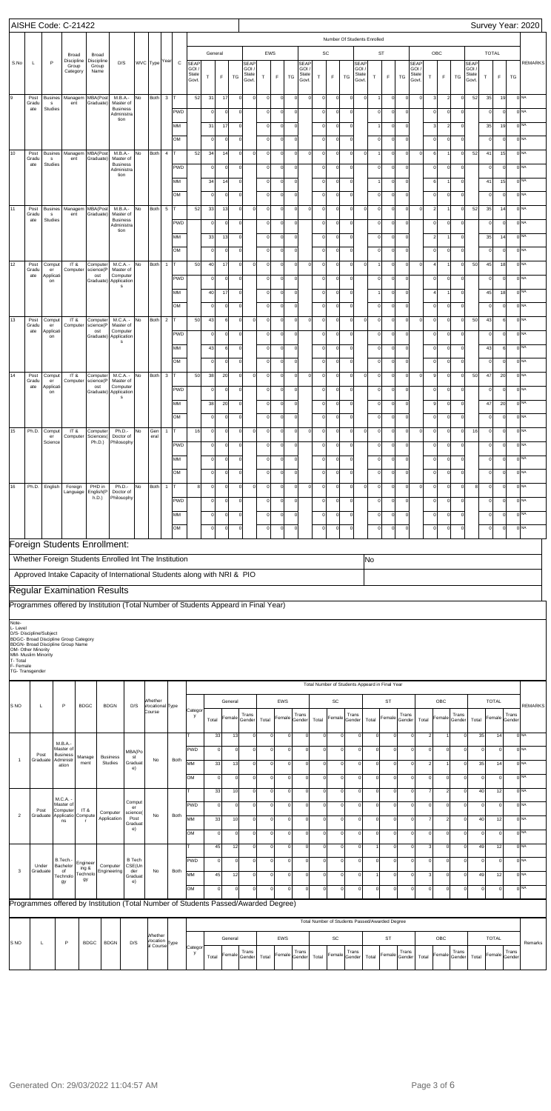|                       | AISHE Code: C-21422                       |                                           |                                              |                              |                                                                                    |                  |                            |                |              |                                                                                                                                                                                                                                                        |              |             |             |                    |             |                     |                |                 |             |             |                                                |                    |                |                |                 |                |                |                |                 |                       |              |              |                   | Survey Year: 2020 |
|-----------------------|-------------------------------------------|-------------------------------------------|----------------------------------------------|------------------------------|------------------------------------------------------------------------------------|------------------|----------------------------|----------------|--------------|--------------------------------------------------------------------------------------------------------------------------------------------------------------------------------------------------------------------------------------------------------|--------------|-------------|-------------|--------------------|-------------|---------------------|----------------|-----------------|-------------|-------------|------------------------------------------------|--------------------|----------------|----------------|-----------------|----------------|----------------|----------------|-----------------|-----------------------|--------------|--------------|-------------------|-------------------|
|                       |                                           |                                           |                                              |                              |                                                                                    |                  |                            |                |              |                                                                                                                                                                                                                                                        |              |             |             |                    |             |                     |                |                 |             |             | Number Of Students Enrolled                    |                    |                |                |                 |                |                |                |                 |                       |              |              |                   |                   |
|                       |                                           |                                           | Broad                                        | Broad                        |                                                                                    |                  |                            |                |              |                                                                                                                                                                                                                                                        | General      |             |             |                    | EWS         |                     |                |                 | SC          |             |                                                |                    |                | ST             |                 |                |                | OBC            |                 |                       | <b>TOTAL</b> |              |                   |                   |
| S.No                  | L                                         | P                                         | Discipline<br>Group                          | Discipline<br>Group          | D/S                                                                                |                  | WVC Type Year              |                | $\mathtt{C}$ | <b>SEAP</b><br>GOI                                                                                                                                                                                                                                     |              |             |             | SEAP<br><b>GOI</b> |             |                     |                | SEAP<br>GOI     |             |             |                                                | SEAP<br><b>GOI</b> |                |                |                 | SEAP<br>GOI /  |                |                |                 | <b>SEAF</b><br>GOI    |              |              |                   | <b>REMARKS</b>    |
|                       |                                           |                                           | Category                                     | Name                         |                                                                                    |                  |                            |                |              | State<br>Govt.                                                                                                                                                                                                                                         | т            | F           | TG          | State<br>Govt.     | $\top$      | F                   | TG             | State<br>Govt.  | Τ           | F           | TG                                             | State<br>Govt      | T              | $\mathsf F$    | TG              | State<br>Govt. | $\top$         | $\mathsf F$    | TG              | <b>State</b><br>Govt. | $\mathsf{T}$ | F            | TG                |                   |
|                       |                                           |                                           |                                              |                              |                                                                                    |                  |                            |                |              |                                                                                                                                                                                                                                                        |              |             |             |                    |             |                     |                |                 |             |             |                                                |                    |                |                |                 |                |                |                |                 |                       |              |              |                   |                   |
| 9                     | Post<br>Gradu                             | <b>Busines</b><br>$\mathsf{s}$            | Managem<br>ent                               | MBA(Post<br>Graduate)        | M.B.A.-<br>Master of                                                               | No               | Both                       | $\mathbf{3}$   | lτ           | 52                                                                                                                                                                                                                                                     | 31           | 17          | $\mathbf 0$ | $\mathbf 0$        | $\mathbf 0$ |                     | $\Omega$       |                 | $\mathbf 0$ | $\mathbf 0$ | $\mathbf 0$                                    | 0                  |                | $\mathbf 0$    | $\mathbf 0$     | $\mathbf 0$    | 3              | $\overline{2}$ | $\mathbf 0$     | 52                    | 35           | 19           | 0 <sub>NA</sub>   |                   |
|                       | ate                                       | Studies                                   |                                              |                              | <b>Business</b><br>Administra                                                      |                  |                            |                | <b>PWD</b>   |                                                                                                                                                                                                                                                        | $\Omega$     | $\mathbf 0$ | 0           |                    | $\mathbf 0$ |                     | $\mathbf 0$    |                 | $\mathbf 0$ | $\mathbf 0$ | 0                                              |                    |                | $\mathbf 0$    | $\circ$         |                | $\mathbf 0$    | $\circ$        | 0               |                       | $\Omega$     | $\Omega$     | 0 <sub>NA</sub>   |                   |
|                       |                                           |                                           |                                              |                              | tion                                                                               |                  |                            |                | MM           |                                                                                                                                                                                                                                                        | 31           | 17          | $\mathbf 0$ |                    | $\mathbf 0$ | $\Omega$            | $\mathbf 0$    |                 | $\mathbf 0$ | $\mathbf 0$ | $\circ$                                        |                    |                | $\mathbf 0$    | $\mathbf 0$     |                | 3              | $\overline{2}$ | $\mathbf 0$     |                       | 35           | 19           | 0 <sub>NA</sub>   |                   |
|                       |                                           |                                           |                                              |                              |                                                                                    |                  |                            |                | OM           |                                                                                                                                                                                                                                                        | $\Omega$     | $\mathbf 0$ | $\mathbf 0$ |                    | $\circ$     | $\Omega$            | $\Omega$       |                 | $\mathbf 0$ | $\mathbf 0$ | $\circ$                                        |                    | $\Omega$       | $\mathbf 0$    | $\mathbf 0$     |                | $\mathbf 0$    | $\circ$        | $\mathbf 0$     |                       | $\Omega$     | $\mathsf{C}$ | 0 <sub>NA</sub>   |                   |
| 10                    | Post                                      | <b>Busines</b>                            | Managem                                      | MBA(Post                     | M.B.A.-                                                                            | No               | Both                       | $\overline{4}$ | T            | 52                                                                                                                                                                                                                                                     | 34           | 14          | $\mathbf 0$ | $\circ$            | $\circ$     | $\Omega$            | $\Omega$       | $\Omega$        | $\mathbf 0$ | $\mathbf 0$ | $\mathbf 0$                                    | $\mathbf 0$        |                | $\mathbf 0$    | $\mathbf 0$     | $\mathbf 0$    | 6              |                | $\mathbf 0$     | 52                    | 41           | 15           | 0 <sub>NA</sub>   |                   |
|                       | Gradu<br>ate                              | $\mathsf{s}$<br>Studies                   | ent                                          | Graduate)                    | Master of<br><b>Business</b>                                                       |                  |                            |                | <b>PWD</b>   |                                                                                                                                                                                                                                                        | $\Omega$     | $\mathbf 0$ | 0           |                    | $\circ$     | $\Omega$            | $\mathbf 0$    |                 | $\mathbf 0$ | $\mathbf 0$ | 0                                              |                    | $\Omega$       | $\mathbf 0$    | $\circ$         |                | $\mathbf 0$    | $\circ$        | 0               |                       | $\Omega$     | $\Omega$     | 0 <sub>NA</sub>   |                   |
|                       |                                           |                                           |                                              |                              | Administra<br>tion                                                                 |                  |                            |                | MM           |                                                                                                                                                                                                                                                        | 34           | 14          | $\mathbf 0$ |                    | $\mathbf 0$ | $\Omega$            | $\overline{0}$ |                 | $\mathbf 0$ | $\mathbf 0$ | $\circ$                                        |                    |                | $\mathbf 0$    | $\mathbf 0$     |                | 6              |                | $\mathbf 0$     |                       | 41           | 15           | 0 <sub>NA</sub>   |                   |
|                       |                                           |                                           |                                              |                              |                                                                                    |                  |                            |                |              |                                                                                                                                                                                                                                                        |              |             |             |                    |             |                     | $\Omega$       |                 |             |             |                                                |                    |                |                |                 |                |                |                |                 |                       |              |              | 0 <sub>NA</sub>   |                   |
|                       |                                           |                                           |                                              |                              |                                                                                    |                  |                            |                | OM           |                                                                                                                                                                                                                                                        | $\Omega$     | $\mathbf 0$ | $\mathbf 0$ |                    | $\circ$     |                     |                |                 | $\mathbf 0$ | $\mathbf 0$ | $\circ$                                        |                    | $\Omega$       | $\mathbf 0$    | $\mathbf 0$     |                | $\mathbf 0$    | $\mathbf 0$    | $\mathbf 0$     |                       | $\Omega$     | $\mathsf{C}$ |                   |                   |
| 11                    | Post<br>Gradu<br>ate                      | <b>Busines</b><br>$\mathsf{s}$<br>Studies | Managem<br>ent                               | MBA(Post<br>Graduate)        | M.B.A.-<br>Master of<br><b>Business</b>                                            | No               | Both                       | $\overline{5}$ | T            | 52                                                                                                                                                                                                                                                     | 33           | 13          | $\mathbf 0$ | $\circ$            | $\mathbf 0$ |                     | $\Omega$       | $\mathsf{C}$    | $\mathbf 0$ | $\mathbf 0$ | $\mathbf 0$                                    | $\mathbf 0$        | $\Omega$       | $\mathbf 0$    | $\mathbf 0$     | $\mathbf 0$    | $\overline{2}$ |                | $\mathbf 0$     | 52                    | 35           | 14           | 0 <sub>NA</sub>   |                   |
|                       |                                           |                                           |                                              |                              | Administra<br>tion                                                                 |                  |                            |                | <b>PWD</b>   |                                                                                                                                                                                                                                                        | $\Omega$     | $\mathbf 0$ | 0           |                    | $\circ$     | $\Omega$            | $\mathbf 0$    |                 | $\mathbf 0$ | $\mathbf 0$ | 0                                              |                    | $\Omega$       | $\mathbf 0$    | $\circ$         |                | $\mathbf 0$    | $\mathbf 0$    | 0               |                       | $\Omega$     | $\Omega$     | 0 <sub>NA</sub>   |                   |
|                       |                                           |                                           |                                              |                              |                                                                                    |                  |                            |                | MM           |                                                                                                                                                                                                                                                        | 33           | 13          | $\mathbf 0$ |                    | $\circ$     | $\Omega$            | $\mathbf 0$    |                 | $\mathbf 0$ | $\mathbf 0$ | $\circ$                                        |                    | $\Omega$       | $\mathbf 0$    | $\mathbf 0$     |                | $\overline{2}$ |                | $\mathbf 0$     |                       | 35           | 14           | 0 <sub>NA</sub>   |                   |
|                       |                                           |                                           |                                              |                              |                                                                                    |                  |                            |                | OM           |                                                                                                                                                                                                                                                        | $\Omega$     | $\mathbf 0$ | $\mathbf 0$ |                    | $\circ$     | $\Omega$            | $\overline{0}$ |                 | $\mathbf 0$ | $\mathbf 0$ | $\circ$                                        |                    | $\Omega$       | $\mathbf 0$    | $\Omega$        |                | $\mathbf 0$    | $\circ$        | $\mathbf 0$     |                       | $\Omega$     | $\mathsf{C}$ | 0 <sub>NA</sub>   |                   |
| 12                    | Post<br>Gradu                             | Comput<br>er                              | IT &<br>Computer                             | Computer<br>science(P        | M.C.A. -<br>Master of                                                              | No               | Both                       | $\mathbf{1}$   | T            | 50                                                                                                                                                                                                                                                     | 40           | 17          | $\mathbf 0$ | $\circ$            | $\mathbf 0$ |                     | $\Omega$       | $\mathsf{C}$    | $\mathbf 0$ | $\mathbf 0$ | $\mathbf 0$                                    | $\mathbf 0$        |                | $\mathbf 0$    | $\mathbf 0$     | $\mathbf 0$    | $\overline{a}$ |                | $\mathbf 0$     | 50                    | 45           | 18           | 0 <sub>NA</sub>   |                   |
|                       | ate                                       | Applicati<br>on                           |                                              | ost                          | Computer<br>Graduate) Application                                                  |                  |                            |                | <b>PWD</b>   | 0 <sub>NA</sub><br>$\mathbf 0$<br>$\mathbf 0$<br>$\mathbf 0$<br>$\mathbf 0$<br> 0 <br>$\mathbf 0$<br>$\mathbf 0$<br>$\mathbf 0$<br>$\Omega$<br>$\mathbf 0$<br>$\mathbf 0$<br>$\mathbf 0$<br>$\mathbf 0$<br>$\Omega$<br>$\mathsf{C}$<br>0 <sub>NA</sub> |              |             |             |                    |             |                     |                |                 |             |             |                                                |                    |                |                |                 |                |                |                |                 |                       |              |              |                   |                   |
|                       |                                           |                                           |                                              |                              | s                                                                                  |                  |                            |                | MM           |                                                                                                                                                                                                                                                        | 40           | 17          | $\mathbf 0$ |                    | $\mathbf 0$ | $\Omega$            | $\mathbf 0$    |                 | $\mathbf 0$ | $\mathbf 0$ | $\circ$                                        |                    |                | $\mathbf 0$    | $\mathbf 0$     |                | $\overline{4}$ |                | $\mathbf 0$     |                       | 45           | 18           |                   |                   |
|                       |                                           |                                           |                                              |                              |                                                                                    |                  |                            |                | OM           |                                                                                                                                                                                                                                                        | $\Omega$     | $\mathbf 0$ | $\mathbf 0$ |                    | $\circ$     | $\Omega$            | $\overline{0}$ |                 | $\mathbf 0$ | $\mathbf 0$ | $\circ$                                        |                    | $\Omega$       | $\mathbf 0$    | $\Omega$        |                | $\mathbf 0$    | $\mathbf 0$    | $\mathbf 0$     |                       | $\Omega$     | $\mathsf{C}$ | 0 <sub>NA</sub>   |                   |
| 13                    | Post                                      | Comput                                    | IT &                                         | Computer                     | M.C.A. -                                                                           | No               | Both                       | $\overline{2}$ | T            | 50                                                                                                                                                                                                                                                     | 43           | 6           | $\mathbf 0$ | $\circ$            | $\circ$     | $\Omega$            | $\Omega$       | $\Omega$        | $\mathbf 0$ | $\mathbf 0$ | $\mathbf 0$                                    | $\mathbf 0$        | $\Omega$       | $\mathbf 0$    | $\mathbf 0$     | $\mathbf 0$    | $\mathbf 0$    | $\mathbf 0$    | $\mathbf 0$     | 50                    | 43           | 6            | 0 <sub>NA</sub>   |                   |
|                       | Gradu<br>ate                              | er<br>Applicati                           | Computer                                     | science(P<br>ost             | Master of<br>Computer                                                              |                  |                            |                | <b>PWD</b>   |                                                                                                                                                                                                                                                        | $\Omega$     | $\mathbf 0$ | $\mathbf 0$ |                    | $\circ$     | $\Omega$            | $\mathbf 0$    |                 | $\mathbf 0$ | $\mathbf 0$ | 0                                              |                    | $\Omega$       | $\mathbf 0$    | $\mathbf 0$     |                | $\mathbf 0$    | $\circ$        | 0               |                       | $\Omega$     | $\Omega$     | 0 <sub>NA</sub>   |                   |
|                       |                                           | on                                        |                                              |                              | Graduate) Application<br>s                                                         |                  |                            |                | MM           |                                                                                                                                                                                                                                                        | 43           | 6           | $\mathbf 0$ |                    | $\mathbf 0$ | $\Omega$            | $\overline{0}$ |                 | $\mathbf 0$ | $\mathbf 0$ | $\circ$                                        |                    | $\Omega$       | $\mathbf 0$    | $\mathbf 0$     |                | $\mathbf 0$    | $\mathbf 0$    | $\mathbf 0$     |                       | 43           | 6            | 0 <sub>NA</sub>   |                   |
|                       |                                           |                                           |                                              |                              |                                                                                    |                  |                            |                |              |                                                                                                                                                                                                                                                        |              |             |             |                    |             |                     |                |                 |             |             |                                                |                    |                |                |                 |                |                |                |                 |                       |              |              |                   |                   |
|                       |                                           |                                           |                                              |                              |                                                                                    |                  |                            |                | OM           |                                                                                                                                                                                                                                                        | $\mathbf 0$  | $\mathbf 0$ | $\mathbf 0$ |                    | $\circ$     |                     | $\Omega$       |                 | $\mathbf 0$ | $\mathbf 0$ | $\circ$                                        |                    | $\Omega$       | $\mathbf 0$    | $\mathbf 0$     |                | $\mathbf 0$    | $\circ$        | $\mathbf 0$     |                       | $\Omega$     | $\mathsf{C}$ | 0 <sub>NA</sub>   |                   |
| 14                    | Post<br>Gradu<br>ate                      | Comput<br>er                              | IT &<br>Computer                             | Computer<br>science(P<br>ost | M.C.A. -<br>Master of<br>Computer                                                  | No               | Both                       | $\mathbf{3}$   | T            | 50                                                                                                                                                                                                                                                     | 38           | 20          | $\mathbf 0$ | $\circ$            | $\mathbf 0$ | $\Omega$            | $\Omega$       | $\mathsf{C}$    | $\mathbf 0$ | $\mathbf 0$ | $\mathbf 0$                                    | $\mathbf 0$        | $\mathbf 0$    | $\mathbf 0$    | $\mathbf 0$     | $\mathbf 0$    | 9              | $\mathbf 0$    | $\mathbf 0$     | 50                    | 47           | 20           | 0 <sub>NA</sub>   |                   |
|                       |                                           | Applicati<br>on                           |                                              |                              | Graduate) Application<br>s                                                         |                  |                            |                | <b>PWD</b>   |                                                                                                                                                                                                                                                        | $\Omega$     | $\mathbf 0$ | 0           |                    | $\circ$     | $\Omega$            | $\mathbf 0$    |                 | $\mathbf 0$ | $\mathbf 0$ | 0                                              |                    | $\Omega$       | $\mathbf 0$    | $\mathbf 0$     |                | $\mathbf 0$    | $\circ$        | 0               |                       | $\Omega$     | $\mathsf{C}$ | 0 <sub>NA</sub>   |                   |
|                       |                                           |                                           |                                              |                              |                                                                                    |                  |                            |                | MM           |                                                                                                                                                                                                                                                        | 38           | 20          | $\mathbf 0$ |                    | $\circ$     | $\Omega$            | $\mathbf 0$    |                 | $\mathbf 0$ | $\mathbf 0$ | $\circ$                                        |                    | $\mathbf 0$    | $\mathbf 0$    | $\mathbf 0$     |                | 9              | $\circ$        | $\mathbf 0$     |                       | 47           | 20           | 0 <sub>NA</sub>   |                   |
|                       |                                           |                                           |                                              |                              |                                                                                    |                  |                            |                | OM           |                                                                                                                                                                                                                                                        | $\Omega$     | $\mathbf 0$ | $\mathbf 0$ |                    | $\circ$     |                     | $\Omega$       |                 | $\mathbf 0$ | $\mathbf 0$ | $\circ$                                        |                    | $\mathbf 0$    | $\mathbf 0$    | $\Omega$        |                | $\mathbf 0$    | $\circ$        | $\mathbf 0$     |                       |              | $\mathsf{C}$ | 0 <sub>NA</sub>   |                   |
| $\overline{15}$       |                                           | Ph.D. Comput<br>er                        | IT &<br>Computer                             | Computer<br>Sciences(        | Ph.D.-<br>Doctor of                                                                | No               | Gen<br>eral                | $1$ T          |              | 16                                                                                                                                                                                                                                                     | $\mathbf 0$  | $\mathbf 0$ | $\circ$     | $\circ$            | $\circ$     | $\overline{0}$      | $\overline{0}$ | $\circ$         | $\circ$     | $\circ$     | $\circ$                                        | $\circ$            | $\overline{0}$ | $\overline{0}$ | $\mathbf 0$     | $\circ$        | $\circ$        | $\circ$        | $\overline{0}$  | 16                    | $\circ$      | $\circ$      | 0 <sub>NA</sub>   |                   |
|                       |                                           | Science                                   |                                              | Ph.D.)                       | Philosophy                                                                         |                  |                            |                | <b>PWD</b>   |                                                                                                                                                                                                                                                        | C            | $\mathbf 0$ | $\mathbf 0$ |                    | $\mathbf 0$ |                     | $\Omega$       |                 | C           | 0           | $\overline{0}$                                 |                    |                | $\Omega$       | $\mathbf 0$     |                | $\mathbf 0$    | $\mathbf 0$    | 0               |                       |              | $\mathsf{C}$ | 0 <sub>NA</sub>   |                   |
|                       |                                           |                                           |                                              |                              |                                                                                    |                  |                            |                | MM           |                                                                                                                                                                                                                                                        | $\circ$      | $\mathbf 0$ | $\mathbf 0$ |                    | $\mathbf 0$ |                     | $\Omega$       |                 | $\mathbf 0$ | $\mathbf 0$ | $\circ$                                        |                    | $\Omega$       | $\mathbf 0$    | $\Omega$        |                | $\mathbf 0$    | $\mathbf 0$    | $\Omega$        |                       | $\Omega$     | $\mathsf{C}$ | 0 <sub>NA</sub>   |                   |
|                       |                                           |                                           |                                              |                              |                                                                                    |                  |                            |                | OM           |                                                                                                                                                                                                                                                        | $\Omega$     | $\mathbf 0$ | $\mathbf 0$ |                    | $\circ$     | $\Omega$            | $\Omega$       |                 | $\mathbf 0$ | $\mathbf 0$ | $\circ$                                        |                    | $\mathbf 0$    | $\Omega$       | $\Omega$        |                | $\mathbf 0$    | $\circ$        | $\Omega$        |                       | $\Omega$     | $\Omega$     | 0 <sub>NA</sub>   |                   |
| 16                    | Ph.D.                                     | English                                   | Foreign                                      | PHD in                       | Ph.D.-                                                                             | No               | Both                       | $\mathbf{1}$   | lτ           |                                                                                                                                                                                                                                                        | $\Omega$     | $\mathbf 0$ | $\mathbf 0$ | $\circ$            | $\mathbf 0$ | $\Omega$            | $\Omega$       | $\Omega$        | $\mathbf 0$ | $\mathbf 0$ | $\mathbf 0$                                    | $\mathbf 0$        | $\Omega$       | $\Omega$       | $\Omega$        | $\mathbf 0$    | $\mathbf 0$    | $\mathbf 0$    | $\mathbf 0$     | 8                     | $\mathbf 0$  | $\mathsf{C}$ | 0 <sub>NA</sub>   |                   |
|                       |                                           |                                           | Language                                     | English(P<br>h.D.)           | Doctor of<br>Philosophy                                                            |                  |                            |                | <b>PWD</b>   |                                                                                                                                                                                                                                                        | $\Omega$     | $\mathbf 0$ | $\mathbf 0$ |                    | $\mathbf 0$ |                     | $\overline{0}$ |                 | $\mathbf 0$ | $\mathbf 0$ | $\circ$                                        |                    | $\Omega$       | $\mathbf 0$    | $\mathbf 0$     |                | $\mathbf 0$    | $\circ$        | $\mathbf 0$     |                       | $\Omega$     | $\mathsf{C}$ | 0 <sub>NA</sub>   |                   |
|                       |                                           |                                           |                                              |                              |                                                                                    |                  |                            |                | MM           |                                                                                                                                                                                                                                                        | $\circ$      | $\mathbf 0$ | $\mathbf 0$ |                    | $\mathbf 0$ |                     | $\Omega$       |                 | $\mathbf 0$ | $\mathbf 0$ | $\circ$                                        |                    | $\Omega$       | $\mathbf 0$    | $\mathbf 0$     |                | $\mathbf 0$    | $\mathbf 0$    | 0               |                       | $\Omega$     | $\mathsf{C}$ | 0 <sub>NA</sub>   |                   |
|                       |                                           |                                           |                                              |                              |                                                                                    |                  |                            |                |              |                                                                                                                                                                                                                                                        |              |             |             |                    |             |                     |                |                 |             |             |                                                |                    |                |                | $\Omega$        |                |                |                |                 |                       |              |              | 0 <sub>NA</sub>   |                   |
|                       |                                           |                                           |                                              |                              |                                                                                    |                  |                            |                | OM           |                                                                                                                                                                                                                                                        | $\circ$      | $\mathbf 0$ | $\mathbf 0$ |                    | $\circ$     |                     | $\Omega$       |                 | $\mathbf 0$ | $\mathbf 0$ | $\mathbf 0$                                    |                    | $\Omega$       | $\mathbf 0$    |                 |                | $\mathbf 0$    | $\mathbf 0$    | $\mathbf 0$     |                       | $\Omega$     | $\mathsf{C}$ |                   |                   |
|                       |                                           |                                           |                                              |                              | Foreign Students Enrollment:                                                       |                  |                            |                |              |                                                                                                                                                                                                                                                        |              |             |             |                    |             |                     |                |                 |             |             |                                                |                    |                |                |                 |                |                |                |                 |                       |              |              |                   |                   |
|                       |                                           |                                           |                                              |                              | Whether Foreign Students Enrolled Int The Institution                              |                  |                            |                |              |                                                                                                                                                                                                                                                        |              |             |             |                    |             |                     |                |                 |             |             |                                                |                    | lNo            |                |                 |                |                |                |                 |                       |              |              |                   |                   |
|                       |                                           |                                           |                                              |                              | Approved Intake Capacity of International Students along with NRI & PIO            |                  |                            |                |              |                                                                                                                                                                                                                                                        |              |             |             |                    |             |                     |                |                 |             |             |                                                |                    |                |                |                 |                |                |                |                 |                       |              |              |                   |                   |
|                       |                                           |                                           |                                              |                              | <b>Regular Examination Results</b>                                                 |                  |                            |                |              |                                                                                                                                                                                                                                                        |              |             |             |                    |             |                     |                |                 |             |             |                                                |                    |                |                |                 |                |                |                |                 |                       |              |              |                   |                   |
|                       |                                           |                                           |                                              |                              |                                                                                    |                  |                            |                |              |                                                                                                                                                                                                                                                        |              |             |             |                    |             |                     |                |                 |             |             |                                                |                    |                |                |                 |                |                |                |                 |                       |              |              |                   |                   |
|                       |                                           |                                           |                                              |                              | Programmes offered by Institution (Total Number of Students Appeard in Final Year) |                  |                            |                |              |                                                                                                                                                                                                                                                        |              |             |             |                    |             |                     |                |                 |             |             |                                                |                    |                |                |                 |                |                |                |                 |                       |              |              |                   |                   |
| Note-<br>L-Level      |                                           |                                           |                                              |                              |                                                                                    |                  |                            |                |              |                                                                                                                                                                                                                                                        |              |             |             |                    |             |                     |                |                 |             |             |                                                |                    |                |                |                 |                |                |                |                 |                       |              |              |                   |                   |
|                       | D/S- Discipline/Subject                   |                                           | <b>BDGC- Broad Discipline Group Category</b> |                              |                                                                                    |                  |                            |                |              |                                                                                                                                                                                                                                                        |              |             |             |                    |             |                     |                |                 |             |             |                                                |                    |                |                |                 |                |                |                |                 |                       |              |              |                   |                   |
|                       | OM- Other Minority<br>MM- Muslim Minority |                                           | BDGN- Broad Discipline Group Name            |                              |                                                                                    |                  |                            |                |              |                                                                                                                                                                                                                                                        |              |             |             |                    |             |                     |                |                 |             |             |                                                |                    |                |                |                 |                |                |                |                 |                       |              |              |                   |                   |
| T- Total<br>F- Female |                                           |                                           |                                              |                              |                                                                                    |                  |                            |                |              |                                                                                                                                                                                                                                                        |              |             |             |                    |             |                     |                |                 |             |             |                                                |                    |                |                |                 |                |                |                |                 |                       |              |              |                   |                   |
|                       | TG- Transgender                           |                                           |                                              |                              |                                                                                    |                  |                            |                |              |                                                                                                                                                                                                                                                        |              |             |             |                    |             |                     |                |                 |             |             |                                                |                    |                |                |                 |                |                |                |                 |                       |              |              |                   |                   |
|                       |                                           |                                           |                                              |                              |                                                                                    |                  |                            |                |              |                                                                                                                                                                                                                                                        |              |             |             |                    |             |                     |                |                 |             |             | Total Number of Students Appeard in Final Year |                    |                |                |                 |                |                |                |                 |                       |              |              |                   |                   |
| S <sub>NO</sub>       | L                                         |                                           | P                                            | <b>BDGC</b>                  | <b>BDGN</b>                                                                        | D/S              | Whether<br>Vocational Type |                |              |                                                                                                                                                                                                                                                        |              | General     |             |                    |             | EWS                 |                |                 |             | SC          |                                                |                    |                | <b>ST</b>      |                 |                |                | OBC            |                 |                       |              | <b>TOTAL</b> |                   | <b>REMARKS</b>    |
|                       |                                           |                                           |                                              |                              |                                                                                    |                  | Course                     |                |              | Categor<br>y                                                                                                                                                                                                                                           | Total        | Female      |             | Trans<br>Gender    | Total       | Female              |                | Trans<br>Gender | Total       | Female      | Trans<br>Gender                                |                    | Total          | Female         | Trans<br>Gender | Total          |                | Female         | Trans<br>Gender | Total                 |              | Female       | Trans<br>Gender   |                   |
|                       |                                           |                                           |                                              |                              |                                                                                    |                  |                            |                |              |                                                                                                                                                                                                                                                        |              |             |             |                    |             |                     |                |                 |             |             |                                                |                    |                |                |                 |                |                |                |                 |                       |              |              |                   |                   |
|                       |                                           |                                           | $M.B.A. -$                                   |                              |                                                                                    |                  |                            |                |              |                                                                                                                                                                                                                                                        | 33           |             | 13          | $\Omega$           |             | $\mathbf 0$         | $\Omega$       | <sup>0</sup>    | $\mathbf 0$ |             | $\Omega$                                       | $\circ$            | $\mathbf 0$    | $\overline{0}$ |                 | $\Omega$       | $\overline{c}$ |                |                 | $\circ$               | 35           | 14           | 0 NA              |                   |
|                       | Post                                      |                                           | Master of<br><b>Business</b>                 | Manage                       | <b>Business</b>                                                                    | MBA(Po<br>st     |                            |                |              | <b>PWD</b>                                                                                                                                                                                                                                             | $\mathbf 0$  |             | $\circ$     | $\circ$            |             | $\mathsf{O}\xspace$ | $\Omega$       | <sup>0</sup>    | $\mathbf 0$ |             | $\circ$                                        | $\Omega$           | $\mathsf{o}$   | $\overline{0}$ |                 | $\mathbf 0$    | $\Omega$       | $\Omega$       |                 | $\circ$               | $\Omega$     | $\circ$      | $0$ <sub>NA</sub> |                   |
| $\overline{1}$        | Graduate                                  |                                           | Administr<br>ation                           | ment                         | Studies                                                                            | Graduat<br>e)    | No                         |                | Both         | <b>MM</b>                                                                                                                                                                                                                                              | 33           |             | 13          | $\circ$            |             | $\mathsf{O}\xspace$ | $\Omega$       | <sup>o</sup>    | $\mathbf 0$ |             | $\circ$                                        | $\Omega$           | $\Omega$       | $\Omega$       |                 | $\Omega$       | 2 <sup>1</sup> |                |                 | $\circ$               | 35           | 14           | ONA               |                   |
|                       |                                           |                                           |                                              |                              |                                                                                    |                  |                            |                |              | <b>OM</b>                                                                                                                                                                                                                                              | $\mathbf{0}$ |             | $\circ$     | $\circ$            |             | $\mathsf{O}\xspace$ | $\Omega$       | <sup>0</sup>    | $\mathbf 0$ |             | $\circ$                                        | $\Omega$           | $\mathbf{0}$   | $\Omega$       |                 | $\Omega$       | οl             | $\Omega$       |                 | $\circ$               | $\Omega$     | $\circ$      | $0$ <sub>NA</sub> |                   |
|                       |                                           |                                           |                                              |                              |                                                                                    |                  |                            |                |              |                                                                                                                                                                                                                                                        | 33           |             | 10          | $\circ$            |             | $\mathsf{O}\xspace$ | $\Omega$       | <sup>0</sup>    | $\mathbf 0$ |             | $\circ$                                        | $\circ$            | $\mathsf 0$    | $\Omega$       |                 | $\Omega$       | $\overline{7}$ | $\overline{2}$ |                 | $\circ$               | 40           | 12           | 0 NA              |                   |
|                       |                                           |                                           | M.C.A. -<br>Master of                        |                              |                                                                                    | Comput<br>er     |                            |                |              | <b>PWD</b>                                                                                                                                                                                                                                             | $\Omega$     |             | $\circ$     | <sup>o</sup>       |             | $\mathsf{O}\xspace$ | $\Omega$       | <sup>0</sup>    | $\mathbf 0$ |             | $\circ$                                        | $\Omega$           | $\mathbf 0$    | $\Omega$       |                 | $\Omega$       | οl             |                |                 | $\circ$               | $\Omega$     | $\circ$      | $0$ <sub>NA</sub> |                   |
| $\overline{2}$        | Post<br>Graduate                          |                                           | Computer<br>Applicatio<br>ns                 | IT &<br>Compute              | Computer<br>Application                                                            | science(<br>Post | No                         |                | Both         | МM                                                                                                                                                                                                                                                     | 33           |             | 10          | $\Omega$           |             | $\mathbf 0$         | $\Omega$       | <sup>0</sup>    | $\Omega$    |             | $\Omega$                                       | $\Omega$           | $\Omega$       | $\Omega$       |                 | $\Omega$       | $\overline{7}$ | $\mathfrak{p}$ |                 | $\circ$               | 40           | 12           | 0 <sup>NA</sup>   |                   |
|                       |                                           |                                           |                                              |                              |                                                                                    | Graduat<br>e)    |                            |                |              |                                                                                                                                                                                                                                                        |              |             |             |                    |             |                     |                |                 |             |             |                                                |                    |                |                |                 |                |                |                |                 |                       |              |              |                   |                   |

NA NA

|            |          |                      |                   |                                                                                    |                      |                     |      | IOM        | $\Omega$ |         | $\Omega$        | $\Omega$ |            |                        |       | Ωï            | $\Omega$ |       | $\Omega$                                       |       |       |            |                       | $\Omega$ |              |                        | 0 <sup>INA</sup> |
|------------|----------|----------------------|-------------------|------------------------------------------------------------------------------------|----------------------|---------------------|------|------------|----------|---------|-----------------|----------|------------|------------------------|-------|---------------|----------|-------|------------------------------------------------|-------|-------|------------|-----------------------|----------|--------------|------------------------|------------------|
|            |          |                      |                   |                                                                                    |                      |                     |      |            | 45       | 12      |                 |          |            |                        |       |               |          |       |                                                |       |       |            |                       | 49       | 12           |                        | 0 <sup>NA</sup>  |
|            | Under    | B.Tech.-<br>Bachelor | Engineer<br>ing & | Computer                                                                           | B Tech<br>CSE(Un     |                     |      | <b>PWD</b> |          |         |                 |          |            |                        |       |               |          |       |                                                |       |       |            |                       |          |              |                        | 0 <sup>NA</sup>  |
|            | Graduate | Technolo<br>gy       | Technolo<br>gy    | Engineering                                                                        | der<br>Graduat<br>e) | No                  | Both | lмм        | 45       | 12      |                 |          |            |                        |       |               |          |       |                                                |       |       |            |                       | 49       | 12           |                        | 0 <sup>NA</sup>  |
|            |          |                      |                   |                                                                                    |                      |                     |      | lом        |          |         |                 |          |            |                        |       |               |          |       |                                                |       |       |            |                       | ΩL       |              |                        | 0 <sup>NA</sup>  |
|            |          |                      |                   | Programmes offered by Institution (Total Number of Students Passed/Awarded Degree) |                      |                     |      |            |          |         |                 |          |            |                        |       |               |          |       |                                                |       |       |            |                       |          |              |                        |                  |
|            |          |                      |                   |                                                                                    |                      |                     |      |            |          |         |                 |          |            |                        |       |               |          |       | Total Number of Students Passed/Awarded Degree |       |       |            |                       |          |              |                        |                  |
| <b>SNO</b> |          | P                    | <b>BDGC</b>       | <b>BDGN</b>                                                                        | D/S                  | Whether<br>Vocation | Type |            |          | General |                 |          | <b>EWS</b> |                        |       | <b>SC</b>     |          |       | <b>ST</b>                                      |       |       | <b>OBC</b> |                       |          | <b>TOTAL</b> |                        | Remarks          |
|            |          |                      |                   |                                                                                    |                      | al Course           |      | Catego     | Total    | Female  | Trans<br>Gender | Total    |            | Trans<br>Female Gender | Total | Female Gender | Trans    | Total | Female Gender                                  | Trans | Total | Female     | Trans<br>Gender Total |          |              | Trans<br>Female Gender |                  |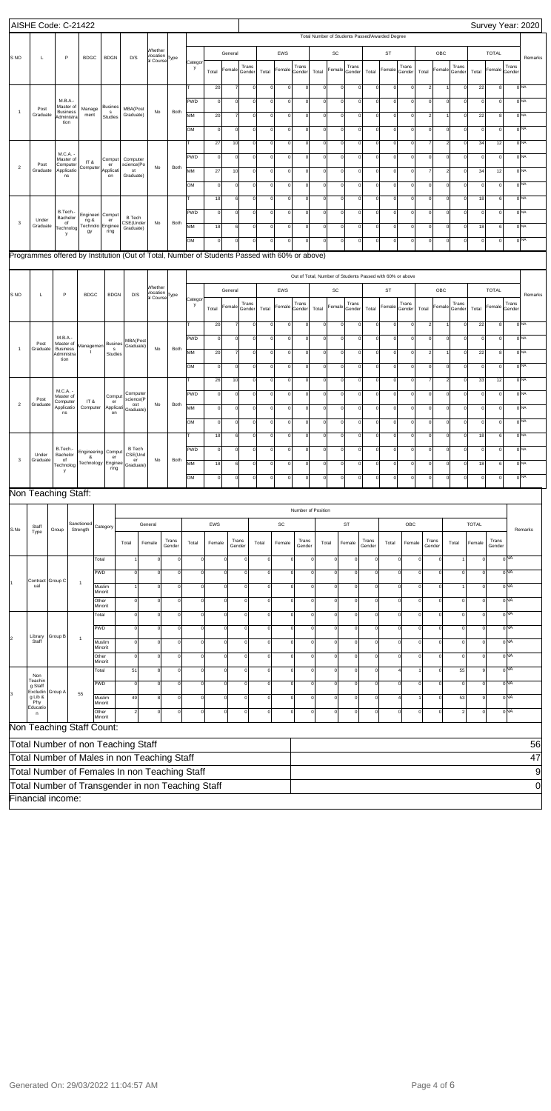|                                                                                                                                                                                                                                                                                                | AISHE Code: C-21422            |         |                                       |                               |                                |                                                                                               |                                       |                 |             |              |                |                 |              |             |                    |              |                                                           |             |                 |           |                |                |                 |                |              |                 |                 | Survey Year: 2020 |
|------------------------------------------------------------------------------------------------------------------------------------------------------------------------------------------------------------------------------------------------------------------------------------------------|--------------------------------|---------|---------------------------------------|-------------------------------|--------------------------------|-----------------------------------------------------------------------------------------------|---------------------------------------|-----------------|-------------|--------------|----------------|-----------------|--------------|-------------|--------------------|--------------|-----------------------------------------------------------|-------------|-----------------|-----------|----------------|----------------|-----------------|----------------|--------------|-----------------|-----------------|-------------------|
|                                                                                                                                                                                                                                                                                                |                                |         |                                       |                               |                                |                                                                                               |                                       |                 |             |              |                |                 |              |             |                    |              | Total Number of Students Passed/Awarded Degree            |             |                 |           |                |                |                 |                |              |                 |                 |                   |
|                                                                                                                                                                                                                                                                                                |                                |         |                                       |                               |                                |                                                                                               | Whether<br>Vocation                   |                 |             |              | General        |                 |              | EWS         |                    |              | SC                                                        |             |                 | ST        |                |                | OBC             |                |              | <b>TOTAL</b>    |                 |                   |
| <b>SNO</b>                                                                                                                                                                                                                                                                                     | L                              |         | P                                     | <b>BDGC</b>                   | <b>BDGN</b>                    | D/S                                                                                           | al Course Type                        |                 | Catego<br>y |              | Female         | Trans           |              | Female      | Trans              |              | Female                                                    | Trans       |                 | Female    | Trans          |                | Female          | Trans          |              | Female          | Trans           | Remarks           |
|                                                                                                                                                                                                                                                                                                |                                |         |                                       |                               |                                |                                                                                               |                                       |                 |             | Total        |                | Gender          | Total        |             | Gender             | Total        |                                                           | Gender      | Total           |           | Gender         | Total          |                 | Gender         | Total        |                 | Gender          |                   |
|                                                                                                                                                                                                                                                                                                |                                |         |                                       |                               |                                |                                                                                               |                                       |                 |             | 20           |                | $\circ$         | $\Omega$     | $\circ$     | $\circ$            | $\mathsf{o}$ | $\circ$                                                   | $\mathbf 0$ | $\circ$         | $\Omega$  | 0              | $\overline{2}$ |                 | $\mathbf 0$    | 22           | 8               |                 | 0 <sup>NA</sup>   |
|                                                                                                                                                                                                                                                                                                | Post                           |         | M.B.A.-<br>Master of                  | Manage                        | <b>Busines</b>                 | MBA(Post                                                                                      |                                       |                 | PWD         | $\mathsf{o}$ | $\Omega$       | $\Omega$        | $\Omega$     | $\Omega$    | $\mathbf 0$        | $\mathsf{o}$ | $\circ$                                                   | $\mathbf 0$ | $\mathbf 0$     | $\Omega$  | 0              | $\Omega$       | $\Omega$        | $\Omega$       | $\pmb{0}$    | $\mathbf 0$     |                 | 0 <sup>NA</sup>   |
| $\overline{1}$                                                                                                                                                                                                                                                                                 | Graduate                       |         | <b>Business</b><br>Administra<br>tion | ment                          | $\mathbf{s}$<br>Studies        | Graduate)                                                                                     | No                                    | Both            | <b>MM</b>   | 20           | $\overline{7}$ | $\mathbf 0$     | $\mathsf 0$  | $\circ$     | $\mathbf 0$        | $\mathsf{o}$ | $\circ$                                                   | $\mathbf 0$ | $\mathbf 0$     | $\Omega$  | 0              | $\overline{2}$ | 1               | $\circ$        | 22           | 8               |                 | 0 <sup>NA</sup>   |
|                                                                                                                                                                                                                                                                                                |                                |         |                                       |                               |                                |                                                                                               |                                       |                 | OM          | $\mathsf{o}$ | $\Omega$       | $\mathbf 0$     | $\mathbf 0$  | $\Omega$    | $\mathbf 0$        | $\mathsf{o}$ | $\circ$                                                   | $\mathbf 0$ | $\mathbf 0$     | $\Omega$  | 0              | $\Omega$       | $\mathbf 0$     | $\Omega$       | $\pmb{0}$    | $\pmb{0}$       |                 | 0 <sup>NA</sup>   |
|                                                                                                                                                                                                                                                                                                |                                |         |                                       |                               |                                |                                                                                               |                                       |                 |             | $27\,$       | 10             | $\mathbf 0$     | $\Omega$     | $\circ$     | $\mathbf 0$        | $\mathsf{o}$ | $\circ$                                                   | $\mathbf 0$ | οl              | $\Omega$  | 0              | $\overline{7}$ | $\overline{2}$  | οl             | 34           | 12              |                 | 0 <sub>NA</sub>   |
|                                                                                                                                                                                                                                                                                                | Post                           |         | M.C.A. -<br>Master of<br>Computer     | IT &                          | Comput<br>er                   | Computer<br>science(Po                                                                        |                                       |                 | PWD         | $\mathsf{o}$ | $\Omega$       | $\mathbf 0$     | $\Omega$     | $\Omega$    | $\mathbf 0$        | $\mathsf{o}$ | $\circ$                                                   | $\mathbf 0$ | $\Omega$        | $\Omega$  | 0              | $\Omega$       | $\Omega$        | $\Omega$       | $\mathsf 0$  | $\mathbf 0$     |                 | 0 <sup>NA</sup>   |
| $\overline{2}$                                                                                                                                                                                                                                                                                 | Graduate                       |         | Applicatio<br>ns                      | Computer                      | Applicat<br>on                 | st<br>Graduate)                                                                               | No                                    | Both            | <b>MM</b>   | $27\,$       | 10             | $\mathbf 0$     | $\mathbf 0$  | $\circ$     | $\mathbf 0$        | $\mathsf{o}$ | $\circ$                                                   | $\mathbf 0$ | $\Omega$        | $\Omega$  | 0              | $\overline{7}$ | $\overline{2}$  | $\circ$        | 34           | 12              |                 | 0 <sub>NA</sub>   |
|                                                                                                                                                                                                                                                                                                |                                |         |                                       |                               |                                |                                                                                               |                                       |                 | OM          | $\mathsf{o}$ | $\Omega$       | $\mathbf 0$     | $\mathbf 0$  | $\Omega$    | $\mathbf 0$        | $\mathsf{o}$ | $\circ$                                                   | $\mathbf 0$ | $\circ$         | $\Omega$  | 0              | $\Omega$       | $\Omega$        | $\Omega$       | $\mathsf 0$  | $\pmb{0}$       |                 | 0 <sup>NA</sup>   |
|                                                                                                                                                                                                                                                                                                |                                |         |                                       |                               |                                |                                                                                               |                                       |                 |             | 18           | 6              | $\Omega$        | $\Omega$     | $\circ$     | $\mathbf 0$        | $\mathsf{o}$ | $\circ$                                                   | $\mathbf 0$ | οl              | $\Omega$  | 0              | $\Omega$       | $\Omega$        | οI             | 18           | $6\phantom{1}6$ |                 | 0 <sub>NA</sub>   |
|                                                                                                                                                                                                                                                                                                |                                |         | B.Tech.-<br>Bachelor                  | Engineeri                     | Comput                         | <b>B</b> Tech                                                                                 |                                       |                 | <b>PWD</b>  | $\mathsf{o}$ | $\Omega$       | $\Omega$        | $\Omega$     | $\Omega$    | $\mathbf 0$        | $\mathsf{o}$ | $\circ$                                                   | $\mathbf 0$ | $\Omega$        | $\Omega$  | 0              | $\Omega$       | $\Omega$        | $\Omega$       | $\mathsf 0$  | $\mathbf 0$     |                 | 0 <sup>NA</sup>   |
| 3                                                                                                                                                                                                                                                                                              | Under<br>Graduate              |         | of<br>Technolog                       | ng &<br><b>Fechnolo</b><br>gy | er<br>Enginee<br>ring          | CSE(Under<br>Graduate)                                                                        | No                                    | Both            | <b>MM</b>   | 18           | 6              | $\mathbf 0$     | $\mathbf 0$  | $\circ$     | $\mathbf 0$        | $\mathsf{O}$ | $\circ$                                                   | $\pmb{0}$   | $\mathbf 0$     | $\Omega$  | 0              | $\Omega$       | $\Omega$        | οI             | 18           | 6               |                 | 0 <sub>NA</sub>   |
|                                                                                                                                                                                                                                                                                                |                                |         | y                                     |                               |                                |                                                                                               |                                       |                 | OM          | $\circ$      | $\Omega$       | $\mathbf 0$     | $\Omega$     | $\Omega$    | $\mathbf 0$        | $\mathsf{o}$ | $\circ$                                                   | $\mathbf 0$ | $\overline{0}$  | $\Omega$  | 0              | $\Omega$       | $\mathbf 0$     | $\mathbf 0$    | $\pmb{0}$    | $\mathbf 0$     |                 | 0 <sup>NA</sup>   |
|                                                                                                                                                                                                                                                                                                |                                |         |                                       |                               |                                | Programmes offered by Institution (Out of Total, Number of Students Passed with 60% or above) |                                       |                 |             |              |                |                 |              |             |                    |              |                                                           |             |                 |           |                |                |                 |                |              |                 |                 |                   |
|                                                                                                                                                                                                                                                                                                |                                |         |                                       |                               |                                |                                                                                               |                                       |                 |             |              |                |                 |              |             |                    |              |                                                           |             |                 |           |                |                |                 |                |              |                 |                 |                   |
|                                                                                                                                                                                                                                                                                                |                                |         |                                       |                               |                                |                                                                                               | <b>Nhether</b>                        |                 |             |              |                |                 |              |             |                    |              | Out of Total, Number of Students Passed with 60% or above |             |                 |           |                |                |                 |                |              |                 |                 |                   |
| S NO                                                                                                                                                                                                                                                                                           | L                              |         | P                                     | <b>BDGC</b>                   | <b>BDGN</b>                    | D/S                                                                                           | Vocation<br>al Course <sup>Type</sup> |                 | Catego      |              | General        |                 |              | <b>EWS</b>  |                    |              | SC                                                        |             |                 | <b>ST</b> |                |                | OBC             |                |              | <b>TOTAL</b>    |                 | Remarks           |
| Trans<br>Trans<br>Trans<br>Trans<br>Trans<br>Trans<br>у<br>Female<br>Female<br>Female<br>Female<br>Female<br>Female<br>Total<br>Total<br>Total<br>Total<br>Total<br>Total<br>Gender<br>Gender<br>Gender<br>Gender<br>Gender<br>Gender                                                          |                                |         |                                       |                               |                                |                                                                                               |                                       |                 |             |              |                |                 |              |             |                    |              |                                                           |             |                 |           |                |                |                 |                |              |                 |                 |                   |
| 22<br>0 <sub>NA</sub><br>20<br>$\mathsf{o}$<br>$\circ$<br>8<br>$\Omega$<br>$\Omega$<br>$\mathbf 0$<br>$\mathbf 0$<br> 0 <br>$\Omega$<br>$\Omega$<br>$\Omega$<br>$\Omega$                                                                                                                       |                                |         |                                       |                               |                                |                                                                                               |                                       |                 |             |              |                |                 |              |             |                    |              |                                                           |             |                 |           |                |                |                 |                |              |                 |                 |                   |
| PWD<br>$0$ <sub>NA</sub><br>M.B.A.-<br>$\mathsf{o}$<br>$\circ$<br>$\circ$<br>$\mathsf 0$<br>$\Omega$<br>$\mathbf 0$<br>$\mathbf 0$<br>$\mathbf 0$<br>$\mathsf{O}$<br>$\mathbf 0$<br>$\mathbf 0$<br>$\Omega$<br> 0 <br>$\Omega$<br>$\Omega$<br>$\mathbf 0$<br>$\Omega$<br>MBA(Post<br>Master of |                                |         |                                       |                               |                                |                                                                                               |                                       |                 |             |              |                |                 |              |             |                    |              |                                                           |             |                 |           |                |                |                 |                |              |                 |                 |                   |
| $\overline{1}$                                                                                                                                                                                                                                                                                 | Post<br>Graduate               |         | <b>Business</b><br>Administra         | Managemen<br>t                | <b>Busines</b><br>s<br>Studies | Graduate)                                                                                     | No                                    | Both            | MM          | 20           |                | $\mathbf 0$     | $\mathbf 0$  | $\circ$     | $\mathbf 0$        | $\mathsf{O}$ | $\circ$                                                   | $\mathbf 0$ | $\mathbf 0$     | $\Omega$  | 0              |                | $\mathbf{1}$    | $\mathbf 0$    | 22           | 8               |                 | $0$ <sub>NA</sub> |
|                                                                                                                                                                                                                                                                                                |                                |         | tion                                  |                               |                                |                                                                                               |                                       |                 | <b>OM</b>   | $\circ$      | $\Omega$       | $\Omega$        | $\Omega$     | $\circ$     | $\Omega$           | $\mathsf{O}$ | $\circ$                                                   | $\mathbf 0$ | $\Omega$        | $\Omega$  | 0              | $\Omega$       | $\Omega$        | $\Omega$       | $\mathsf 0$  | $^{\circ}$      |                 | 0 <sup>NA</sup>   |
|                                                                                                                                                                                                                                                                                                |                                |         |                                       |                               |                                |                                                                                               |                                       |                 |             | 26           | 10             | $\mathbf 0$     | $\Omega$     | $\mathbf 0$ | $\Omega$           | $\mathsf{O}$ | $\circ$                                                   | $\mathbf 0$ | $\mathbf 0$     | $\Omega$  | 0              |                | $\overline{2}$  | $\mathbf 0$    | 33           | 12              |                 | $0$ <sub>NA</sub> |
|                                                                                                                                                                                                                                                                                                |                                |         | M.C.A.<br>Master of                   |                               | Comput                         | Computer                                                                                      |                                       |                 | PWD         | $\mathsf{O}$ | $\Omega$       | $\mathbf 0$     | $\mathbf 0$  | $\circ$     | $\mathbf 0$        | $\mathsf{O}$ | $\circ$                                                   | $\mathbf 0$ | $\mathbf 0$     | $\Omega$  | 0              | $\Omega$       | $\Omega$        | $\mathbf 0$    | $\mathsf 0$  | $^{\circ}$      |                 | 0 <sup>NA</sup>   |
| $\overline{2}$                                                                                                                                                                                                                                                                                 | $\mathsf{Post}$<br>Graduate    |         | Computer<br>Applicatio                | IT&<br>Computer               | er<br>Applicati                | science(P<br>ost<br>Graduate)                                                                 | No                                    | Both            | MM          | $\circ$      | $\Omega$       | $\mathbf 0$     | $\mathbf 0$  | $\circ$     | $\mathbf 0$        | $\mathsf{O}$ | $\circ$                                                   | $\mathbf 0$ | $\mathbf 0$     | $\Omega$  | 0              | $\Omega$       | $\Omega$        | $\Omega$       | $\mathsf 0$  | $\Omega$        |                 | $0$ <sub>NA</sub> |
|                                                                                                                                                                                                                                                                                                |                                |         | ns                                    |                               | on                             |                                                                                               |                                       |                 | <b>OM</b>   | $\mathsf{O}$ | $\Omega$       | $\Omega$        | $\sqrt{a}$   | $\Omega$    | $\Omega$           | $\mathbf 0$  | $\mathbf 0$                                               | $\Omega$    | $\Omega$        | $\Omega$  | 0              |                | $\Omega$        | $\Omega$       | $\mathbf 0$  | $\Omega$        |                 | 0 <sup>NA</sup>   |
|                                                                                                                                                                                                                                                                                                |                                |         |                                       |                               |                                |                                                                                               |                                       |                 |             | 18           | 6              | $\mathbf 0$     | $\mathbf 0$  | $\mathbf 0$ | $\circ$            | $\mathsf{O}$ | $\circ$                                                   | $\mathbf 0$ | $\mathbf 0$     | $\Omega$  | $\circ$        | $\Omega$       | $\mathbf 0$     | $\mathbf 0$    | 18           | 6               |                 | $0$ NA            |
|                                                                                                                                                                                                                                                                                                |                                |         | B.Tech.                               | Engineering Comput            |                                | <b>B</b> Tech                                                                                 |                                       |                 | <b>PWD</b>  | $\circ$      | $\Omega$       | $\mathbf 0$     | $\mathbf 0$  | $\circ$     | $\mathbf 0$        | $\mathsf{O}$ | $\circ$                                                   | $\mathbf 0$ | $\mathbf 0$     | $\Omega$  | 0              | $\Omega$       | $\Omega$        | $\mathbf 0$    | $\mathsf 0$  | $\mathbf 0$     |                 | $0$ <sub>NA</sub> |
| 3                                                                                                                                                                                                                                                                                              | Under<br>Graduate              |         | Bachelor<br>of<br>Technolog           | &<br>Technology               | er<br>Enginee                  | CSE(Und<br>er<br>Graduate)                                                                    | No                                    | Both            | MM          | 18           | 6              | $\mathbf 0$     | $\Omega$     | $\circ$     | $\mathbf 0$        | $\mathsf{o}$ | $\circ$                                                   | $\mathbf 0$ | $\mathbf 0$     | $\Omega$  | 0              | $\Omega$       | $\Omega$        | $\mathbf 0$    | 18           | 6               |                 | 0 <sup>NA</sup>   |
|                                                                                                                                                                                                                                                                                                |                                |         | у                                     |                               | ring                           |                                                                                               |                                       |                 | OM          | $\mathsf{O}$ | $\Omega$       | $\Omega$        | $\Omega$     | $\circ$     | $\mathbf 0$        | $\mathsf{O}$ | $\circ$                                                   | $\mathbf 0$ | $\mathbf 0$     | $\Omega$  | 0              | $\Omega$       | $\Omega$        | $\mathbf 0$    | $\mathsf 0$  | $\Omega$        |                 | 0 <sup>NA</sup>   |
|                                                                                                                                                                                                                                                                                                | Non Teaching Staff:            |         |                                       |                               |                                |                                                                                               |                                       |                 |             |              |                |                 |              |             |                    |              |                                                           |             |                 |           |                |                |                 |                |              |                 |                 |                   |
|                                                                                                                                                                                                                                                                                                |                                |         |                                       |                               |                                |                                                                                               |                                       |                 |             |              |                |                 |              |             |                    |              |                                                           |             |                 |           |                |                |                 |                |              |                 |                 |                   |
|                                                                                                                                                                                                                                                                                                |                                |         |                                       |                               |                                |                                                                                               |                                       |                 |             |              |                |                 |              |             | Number of Position |              |                                                           |             |                 |           |                |                |                 |                |              |                 |                 |                   |
| S.No                                                                                                                                                                                                                                                                                           | Staff<br>Type                  | Group   |                                       | Sanctioned<br>Strength        | Category                       |                                                                                               | General                               |                 |             | EWS          |                |                 |              | SC          |                    |              |                                                           | ST          |                 |           | OBC            |                |                 |                | <b>TOTAL</b> |                 |                 | Remarks           |
|                                                                                                                                                                                                                                                                                                |                                |         |                                       |                               |                                | Total                                                                                         | Female                                | Trans<br>Gender | Total       | Female       |                | Trans<br>Gender | Total        | Female      | Trans<br>Gender    |              | Total                                                     | Female      | Trans<br>Gender | Total     | Female         |                | Trans<br>Gender | Total          | Female       | Trans<br>Gender |                 |                   |
|                                                                                                                                                                                                                                                                                                |                                |         |                                       |                               | Total                          |                                                                                               |                                       |                 | $\mathbf 0$ |              |                | $\mathbf 0$     | $\mathbf 0$  |             | $\circ$            |              | $\mathbf 0$                                               | $\circ$     |                 |           | $\mathsf{o}$   |                | $\mathbf 0$     | 1              |              |                 | 0 <sub>NA</sub> |                   |
|                                                                                                                                                                                                                                                                                                |                                |         |                                       |                               | <b>PWD</b>                     | $\sqrt{ }$                                                                                    |                                       |                 | $\Omega$    |              | $\Omega$       | $\mathbf 0$     | $\mathbf 0$  |             | $\circ$            |              | $^{\circ}$                                                | 0           |                 |           | $\mathbf 0$    |                | $\Omega$        | $\mathbf 0$    | $\Omega$     |                 | 0 <sub>NA</sub> |                   |
|                                                                                                                                                                                                                                                                                                | Contract Group C<br>ual        |         |                                       | $\mathbf{1}$                  | Muslim                         |                                                                                               |                                       | $\Omega$        | $\Omega$    |              | $\Omega$       | $\mathbf 0$     | $\mathsf{O}$ |             | $\circ$            | $\Omega$     | $\mathbf 0$                                               | 0           |                 |           | $\mathbf 0$    | $\Omega$       | $\circ$         | 1              | $\circ$      |                 | 0 <sub>NA</sub> |                   |
|                                                                                                                                                                                                                                                                                                |                                |         |                                       |                               | Minorit<br>Other               | $\mathbf 0$                                                                                   | O                                     | $\Omega$        | $\Omega$    |              | $\Omega$       | $\mathbf 0$     | $\mathbf 0$  |             | $\mathbf 0$        | $\Omega$     | $\mathbf 0$                                               | 0           |                 |           | $\mathbf 0$    | 0              | $\mathbf 0$     | $\mathbf 0$    | $\Omega$     |                 | 0 <sub>NA</sub> |                   |
|                                                                                                                                                                                                                                                                                                |                                |         |                                       |                               | Minorit<br>Total               | $\mathbf 0$                                                                                   |                                       | $\Omega$        | $\Omega$    |              | $\Omega$       | $\mathbf 0$     | $\mathsf{O}$ |             | $\circ$            | $\Omega$     | $\mathbf 0$                                               | 0           |                 |           | $\mathbf 0$    | $\Omega$       | $\circ$         | $\mathbf 0$    | $\circ$      |                 | 0 <sub>NA</sub> |                   |
|                                                                                                                                                                                                                                                                                                |                                |         |                                       |                               | <b>PWD</b>                     | $\sqrt{a}$                                                                                    | C                                     |                 | $\Omega$    |              | $\Omega$       | $\mathbf 0$     | $\mathbf 0$  |             | $\circ$            |              | $\mathbf 0$                                               | $\circ$     |                 |           | $\mathsf{o}$   |                | $\Omega$        | $\mathbf 0$    | $\Omega$     |                 | 0 <sub>NA</sub> |                   |
| 2                                                                                                                                                                                                                                                                                              | Library<br>Staff               | Group B |                                       | $\mathbf{1}$                  | Muslim                         | $\mathbf 0$                                                                                   |                                       | $\Omega$        | $\Omega$    |              | $\Omega$       | $\mathbf 0$     | $\mathbf 0$  |             | $\circ$            | $\Omega$     | $\mathbf 0$                                               | $\circ$     |                 |           | $\mathbf 0$    | $\Omega$       | $\mathbf 0$     | $\mathbf 0$    | $\circ$      |                 | 0 <sub>NA</sub> |                   |
|                                                                                                                                                                                                                                                                                                |                                |         |                                       |                               | Minorit<br>Other               | $\Omega$                                                                                      | $\Omega$                              | $\Omega$        | $\Omega$    |              | $\Omega$       | $\mathbf 0$     | $\mathbf 0$  |             | $\mathbf 0$        | $\Omega$     | $\mathbf 0$                                               | 0           |                 |           | $\mathbf 0$    | 0              | $\mathbf 0$     | $\mathbf 0$    | $\mathbf 0$  |                 | 0 <sub>NA</sub> |                   |
|                                                                                                                                                                                                                                                                                                |                                |         |                                       |                               | Minorit<br>Total               | 51                                                                                            | 8                                     | $\Omega$        | $\Omega$    |              | $\Omega$       | $\mathbf 0$     | $\mathsf{O}$ |             | $\circ$            | $\Omega$     | $\mathbf 0$                                               | $\circ$     |                 |           | $\overline{4}$ |                | $\circ$         | 55             | 9            |                 | 0 <sub>NA</sub> |                   |
|                                                                                                                                                                                                                                                                                                | Non<br>Teachin                 |         |                                       |                               | <b>PWD</b>                     | $\sqrt{a}$                                                                                    | O                                     |                 | $\Omega$    |              | $\Omega$       | $\mathbf 0$     | $\mathbf 0$  |             | $\circ$            | $\Omega$     | $\mathbf 0$                                               | $\circ$     |                 |           | $\mathsf{o}$   |                | $\mathbf 0$     | $\mathbf 0$    | $\Omega$     |                 | 0 <sub>NA</sub> |                   |
| 3                                                                                                                                                                                                                                                                                              | g Staff<br>Excludin<br>g Lib & | Group A |                                       | 55                            | Muslim                         | 49                                                                                            | 8                                     | $\Omega$        | $\mathbf 0$ |              | $\Omega$       | $\mathbf 0$     | $\mathbf 0$  |             | $\circ$            | $\Omega$     | $\circ$                                                   | $\circ$     |                 |           | $\overline{4}$ |                | $\mathbf 0$     | 53             | 9            |                 | 0 <sub>NA</sub> |                   |
|                                                                                                                                                                                                                                                                                                | Phy<br>Educatio                |         |                                       |                               | Minorit<br>Other               | $\overline{2}$                                                                                | $\mathbf 0$                           | $\Omega$        | $\mathbf 0$ |              | $\Omega$       | $\mathbf 0$     | $\mathbf 0$  |             | $\mathbf 0$        | $\Omega$     | $\mathbf 0$                                               | 0           |                 |           | $\mathbf 0$    | C              | $\mathbf 0$     | $\overline{2}$ | $\Omega$     |                 | 0 <sub>NA</sub> |                   |
|                                                                                                                                                                                                                                                                                                | n                              |         |                                       |                               | Minorit                        |                                                                                               |                                       |                 |             |              |                |                 |              |             |                    |              |                                                           |             |                 |           |                |                |                 |                |              |                 |                 |                   |
|                                                                                                                                                                                                                                                                                                |                                |         |                                       | Non Teaching Staff Count:     |                                |                                                                                               |                                       |                 |             |              |                |                 |              |             |                    |              |                                                           |             |                 |           |                |                |                 |                |              |                 |                 |                   |
|                                                                                                                                                                                                                                                                                                |                                |         |                                       |                               |                                | Total Number of non Teaching Staff                                                            |                                       |                 |             |              |                |                 |              |             |                    |              |                                                           |             |                 |           |                |                |                 |                |              |                 |                 | 56                |
|                                                                                                                                                                                                                                                                                                |                                |         |                                       |                               |                                | Total Number of Males in non Teaching Staff                                                   |                                       |                 |             |              |                |                 |              |             |                    |              |                                                           |             |                 |           |                |                |                 |                |              |                 |                 | 47                |
|                                                                                                                                                                                                                                                                                                |                                |         |                                       |                               |                                | Total Number of Females In non Teaching Staff                                                 |                                       |                 |             |              |                |                 |              |             |                    |              |                                                           |             |                 |           |                |                |                 |                |              |                 |                 | 9                 |
|                                                                                                                                                                                                                                                                                                |                                |         |                                       |                               |                                | Total Number of Transgender in non Teaching Staff                                             |                                       |                 |             |              |                |                 |              |             |                    |              |                                                           |             |                 |           |                |                |                 |                |              |                 |                 | 0                 |
|                                                                                                                                                                                                                                                                                                | Financial income:              |         |                                       |                               |                                |                                                                                               |                                       |                 |             |              |                |                 |              |             |                    |              |                                                           |             |                 |           |                |                |                 |                |              |                 |                 |                   |

Generated On: 29/03/2022 11:04:57 AM Page 4 of 6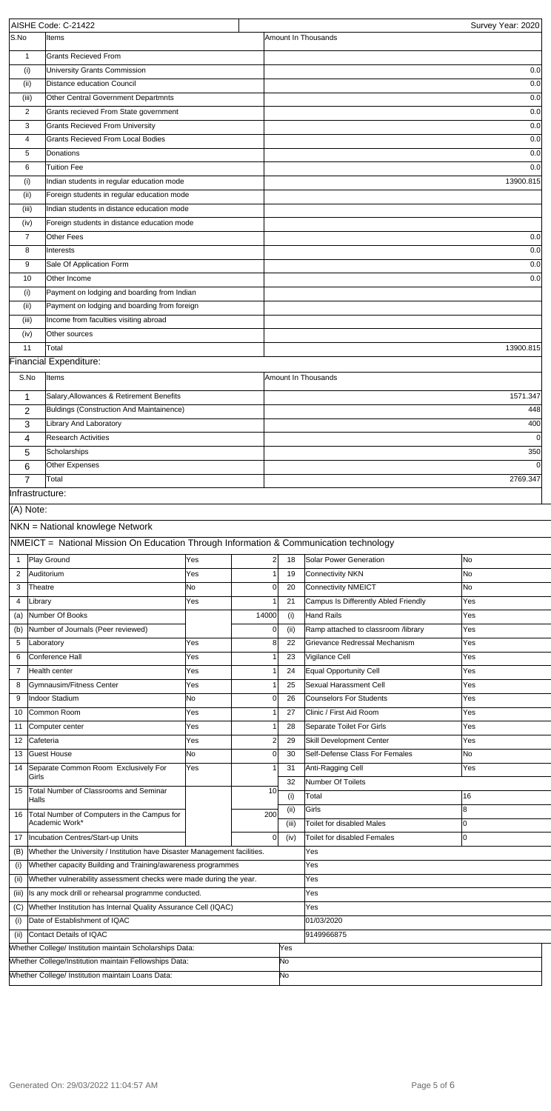|                        | AISHE Code: C-21422                                                                   |           |                |       |                                      | Survey Year: 2020     |
|------------------------|---------------------------------------------------------------------------------------|-----------|----------------|-------|--------------------------------------|-----------------------|
| S.No                   | Items                                                                                 |           |                |       | Amount In Thousands                  |                       |
| $\mathbf{1}$           | <b>Grants Recieved From</b>                                                           |           |                |       |                                      |                       |
| (i)                    | University Grants Commission                                                          |           |                |       |                                      | 0.0                   |
| (ii)                   | Distance education Council                                                            |           |                |       |                                      | 0.0                   |
| (iii)                  | Other Central Government Departmnts                                                   |           |                |       |                                      | 0.0                   |
| 2                      | Grants recieved From State government                                                 |           |                |       |                                      | 0.0                   |
| 3                      | <b>Grants Recieved From University</b>                                                |           |                |       |                                      | 0.0                   |
| 4                      | Grants Recieved From Local Bodies                                                     |           |                |       |                                      | 0.0                   |
| 5                      | Donations                                                                             |           |                |       |                                      | 0.0                   |
| 6                      | <b>Tuition Fee</b>                                                                    |           |                |       |                                      | 0.0                   |
| (i)                    | Indian students in regular education mode                                             |           |                |       |                                      | 13900.815             |
| (ii)                   | Foreign students in regular education mode                                            |           |                |       |                                      |                       |
| (iii)                  | Indian students in distance education mode                                            |           |                |       |                                      |                       |
| (iv)<br>$\overline{7}$ | Foreign students in distance education mode<br>Other Fees                             |           |                |       |                                      | 0.0                   |
| 8                      | Interests                                                                             |           |                |       |                                      | 0.0                   |
| 9                      | Sale Of Application Form                                                              |           |                |       |                                      | 0.0                   |
| 10                     | Other Income                                                                          |           |                |       |                                      | 0.0                   |
| (i)                    | Payment on lodging and boarding from Indian                                           |           |                |       |                                      |                       |
| (ii)                   | Payment on lodging and boarding from foreign                                          |           |                |       |                                      |                       |
| (iii)                  | Income from faculties visiting abroad                                                 |           |                |       |                                      |                       |
| (iv)                   | Other sources                                                                         |           |                |       |                                      |                       |
| 11                     | Total                                                                                 |           |                |       |                                      | 13900.815             |
|                        | Financial Expenditure:                                                                |           |                |       |                                      |                       |
| S.No                   | Items                                                                                 |           |                |       | Amount In Thousands                  |                       |
|                        |                                                                                       |           |                |       |                                      |                       |
| 1                      | Salary, Allowances & Retirement Benefits                                              |           |                |       |                                      | 1571.347              |
| 2                      | Buldings (Construction And Maintainence)                                              |           |                |       |                                      | 448                   |
| 3                      | Library And Laboratory<br><b>Research Activities</b>                                  |           |                |       |                                      | 400                   |
| 4                      | Scholarships                                                                          |           |                |       |                                      | $\overline{0}$<br>350 |
| 5<br>6                 | Other Expenses                                                                        |           |                |       |                                      |                       |
| $\overline{7}$         | Total                                                                                 |           |                |       |                                      | 2769.347              |
|                        | Infrastructure:                                                                       |           |                |       |                                      |                       |
| (A) Note:              |                                                                                       |           |                |       |                                      |                       |
|                        |                                                                                       |           |                |       |                                      |                       |
|                        | NKN = National knowlege Network                                                       |           |                |       |                                      |                       |
|                        | NMEICT = National Mission On Education Through Information & Communication technology |           |                |       |                                      |                       |
| 1                      | Play Ground                                                                           | Yes       | $\overline{2}$ | 18    | <b>Solar Power Generation</b>        | <b>No</b>             |
| 2                      | Auditorium                                                                            | Yes       |                | 19    | <b>Connectivity NKN</b>              | No                    |
| 3                      | Theatre                                                                               | <b>No</b> | <sup>0</sup>   | 20    | Connectivity NMEICT                  | <b>No</b>             |
| 4                      | Library                                                                               | Yes       |                | 21    | Campus Is Differently Abled Friendly | Yes                   |
| (a)                    | Number Of Books                                                                       |           | 14000          | (i)   | Hand Rails                           | Yes                   |
| (b)                    | Number of Journals (Peer reviewed)                                                    |           | 0              | (ii)  | Ramp attached to classroom /library  | Yes                   |
| 5                      | Laboratory                                                                            | Yes       | 8              | 22    | Grievance Redressal Mechanism        | <b>Yes</b>            |
| 6                      | Conference Hall                                                                       | Yes       |                | 23    | Vigilance Cell                       | Yes                   |
| $\overline{7}$         | Health center                                                                         | Yes       |                | 24    | Equal Opportunity Cell               | Yes                   |
| 8                      | Gymnausim/Fitness Center                                                              | Yes       |                | 25    | Sexual Harassment Cell               | Yes                   |
| 9                      | Indoor Stadium                                                                        | <b>No</b> | 0              | 26    | Counselors For Students              | <b>Yes</b>            |
| 10                     | Common Room                                                                           | Yes       |                | 27    | Clinic / First Aid Room              | Yes                   |
| 11                     | Computer center                                                                       | Yes       |                | 28    | Separate Toilet For Girls            | <b>Yes</b>            |
| 12                     | Cafeteria                                                                             | Yes       | 2              | 29    | Skill Development Center             | Yes                   |
| 13                     | Guest House                                                                           | <b>No</b> | <sup>0</sup>   | 30    | Self-Defense Class For Females       | No                    |
| 14                     | Separate Common Room Exclusively For<br>Girls                                         | Yes       |                | 31    | Anti-Ragging Cell                    | Yes                   |
| 15                     | Total Number of Classrooms and Seminar                                                |           | 10             | 32    | Number Of Toilets                    |                       |
|                        | Halls                                                                                 |           |                | (i)   | Total                                | 16                    |
| 16                     | Total Number of Computers in the Campus for                                           |           | 200            | (ii)  | Girls                                | l8                    |
|                        | Academic Work*                                                                        |           |                | (iii) | <b>Toilet for disabled Males</b>     | lo.                   |
|                        | 17  Incubation Centres/Start-up Units                                                 |           | 0              | (iv)  | <b>Toilet for disabled Females</b>   | l٥                    |
| (B)                    | Whether the University / Institution have Disaster Management facilities.             |           |                |       | Yes                                  |                       |
| (i)                    | Whether capacity Building and Training/awareness programmes                           |           |                |       | Yes                                  |                       |
| (ii)                   | Whether vulnerability assessment checks were made during the year.                    |           |                |       | Yes                                  |                       |
| (iii)                  | Is any mock drill or rehearsal programme conducted.                                   |           |                |       | Yes                                  |                       |
| (C)                    | Whether Institution has Internal Quality Assurance Cell (IQAC)                        |           |                |       | Yes                                  |                       |
| (i)                    | Date of Establishment of IQAC                                                         |           |                |       | 01/03/2020                           |                       |
| (ii)                   | Contact Details of IQAC                                                               |           |                |       | 9149966875                           |                       |
|                        | Whether College/ Institution maintain Scholarships Data:                              |           |                | Yes   |                                      |                       |
|                        | Whether College/Institution maintain Fellowships Data:                                |           |                | No    |                                      |                       |
|                        | Whether College/ Institution maintain Loans Data:                                     |           |                | No    |                                      |                       |